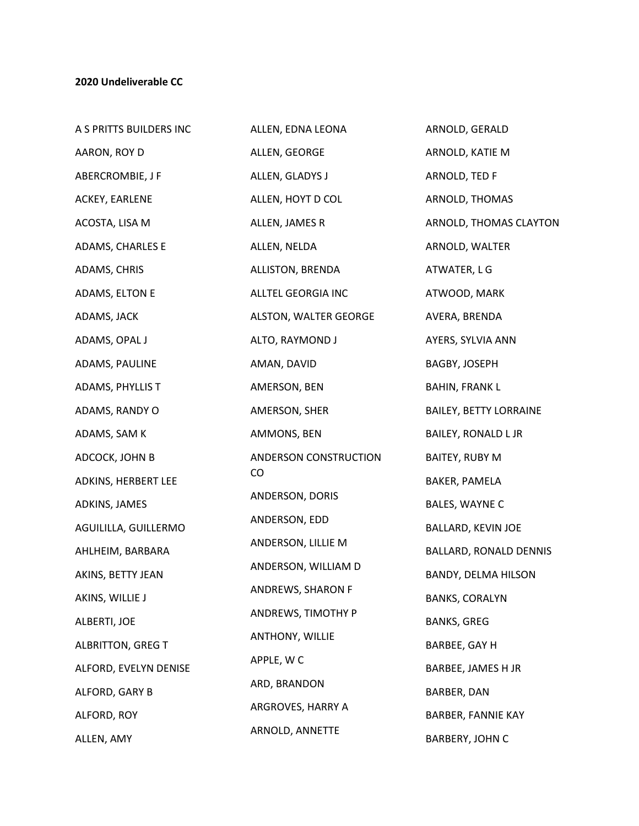## **2020 Undeliverable CC**

| A S PRITTS BUILDERS INC  | ALLEN, EDNA LEONA     | ARNOLD, GERALD                |
|--------------------------|-----------------------|-------------------------------|
| AARON, ROY D             | ALLEN, GEORGE         | ARNOLD, KATIE M               |
| ABERCROMBIE, J F         | ALLEN, GLADYS J       | ARNOLD, TED F                 |
| ACKEY, EARLENE           | ALLEN, HOYT D COL     | ARNOLD, THOMAS                |
| ACOSTA, LISA M           | ALLEN, JAMES R        | ARNOLD, THOMAS CLAYTON        |
| ADAMS, CHARLES E         | ALLEN, NELDA          | ARNOLD, WALTER                |
| ADAMS, CHRIS             | ALLISTON, BRENDA      | ATWATER, LG                   |
| ADAMS, ELTON E           | ALLTEL GEORGIA INC    | ATWOOD, MARK                  |
| ADAMS, JACK              | ALSTON, WALTER GEORGE | AVERA, BRENDA                 |
| ADAMS, OPAL J            | ALTO, RAYMOND J       | AYERS, SYLVIA ANN             |
| ADAMS, PAULINE           | AMAN, DAVID           | BAGBY, JOSEPH                 |
| ADAMS, PHYLLIS T         | AMERSON, BEN          | <b>BAHIN, FRANK L</b>         |
| ADAMS, RANDY O           | AMERSON, SHER         | <b>BAILEY, BETTY LORRAINE</b> |
| ADAMS, SAM K             | AMMONS, BEN           | <b>BAILEY, RONALD L JR</b>    |
| ADCOCK, JOHN B           | ANDERSON CONSTRUCTION | <b>BAITEY, RUBY M</b>         |
| ADKINS, HERBERT LEE      | CO                    | BAKER, PAMELA                 |
| ADKINS, JAMES            | ANDERSON, DORIS       | BALES, WAYNE C                |
| AGUILILLA, GUILLERMO     | ANDERSON, EDD         | <b>BALLARD, KEVIN JOE</b>     |
| AHLHEIM, BARBARA         | ANDERSON, LILLIE M    | BALLARD, RONALD DENNIS        |
| AKINS, BETTY JEAN        | ANDERSON, WILLIAM D   | BANDY, DELMA HILSON           |
| AKINS, WILLIE J          | ANDREWS, SHARON F     | <b>BANKS, CORALYN</b>         |
| ALBERTI, JOE             | ANDREWS, TIMOTHY P    | <b>BANKS, GREG</b>            |
| <b>ALBRITTON, GREG T</b> | ANTHONY, WILLIE       | BARBEE, GAY H                 |
| ALFORD, EVELYN DENISE    | APPLE, WC             | BARBEE, JAMES H JR            |
| ALFORD, GARY B           | ARD, BRANDON          | <b>BARBER, DAN</b>            |
| ALFORD, ROY              | ARGROVES, HARRY A     | BARBER, FANNIE KAY            |
| ALLEN, AMY               | ARNOLD, ANNETTE       | BARBERY, JOHN C               |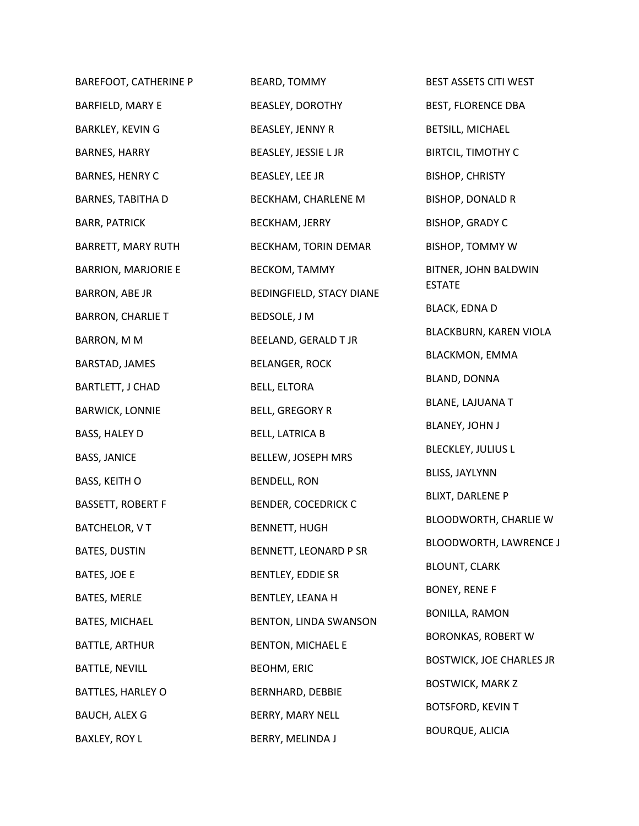| BAREFOOT, CATHERINE P      | BEARD, TOMMY               | BEST ASSETS CITI WEST           |
|----------------------------|----------------------------|---------------------------------|
| BARFIELD, MARY E           | BEASLEY, DOROTHY           | <b>BEST, FLORENCE DBA</b>       |
| <b>BARKLEY, KEVING</b>     | BEASLEY, JENNY R           | BETSILL, MICHAEL                |
| BARNES, HARRY              | BEASLEY, JESSIE L JR       | <b>BIRTCIL, TIMOTHY C</b>       |
| BARNES, HENRY C            | BEASLEY, LEE JR            | <b>BISHOP, CHRISTY</b>          |
| <b>BARNES, TABITHA D</b>   | BECKHAM, CHARLENE M        | <b>BISHOP, DONALD R</b>         |
| <b>BARR, PATRICK</b>       | <b>BECKHAM, JERRY</b>      | <b>BISHOP, GRADY C</b>          |
| BARRETT, MARY RUTH         | BECKHAM, TORIN DEMAR       | <b>BISHOP, TOMMY W</b>          |
| <b>BARRION, MARJORIE E</b> | BECKOM, TAMMY              | BITNER, JOHN BALDWIN            |
| <b>BARRON, ABE JR</b>      | BEDINGFIELD, STACY DIANE   | <b>ESTATE</b>                   |
| <b>BARRON, CHARLIE T</b>   | BEDSOLE, J M               | <b>BLACK, EDNA D</b>            |
| BARRON, M M                | BEELAND, GERALD T JR       | BLACKBURN, KAREN VIOLA          |
| BARSTAD, JAMES             | <b>BELANGER, ROCK</b>      | <b>BLACKMON, EMMA</b>           |
| BARTLETT, J CHAD           | <b>BELL, ELTORA</b>        | BLAND, DONNA                    |
| <b>BARWICK, LONNIE</b>     | <b>BELL, GREGORY R</b>     | <b>BLANE, LAJUANA T</b>         |
| BASS, HALEY D              | <b>BELL, LATRICA B</b>     | BLANEY, JOHN J                  |
| <b>BASS, JANICE</b>        | BELLEW, JOSEPH MRS         | <b>BLECKLEY, JULIUS L</b>       |
| <b>BASS, KEITH O</b>       | <b>BENDELL, RON</b>        | BLISS, JAYLYNN                  |
| <b>BASSETT, ROBERT F</b>   | <b>BENDER, COCEDRICK C</b> | <b>BLIXT, DARLENE P</b>         |
| <b>BATCHELOR, VT</b>       | <b>BENNETT, HUGH</b>       | BLOODWORTH, CHARLIE W           |
| <b>BATES, DUSTIN</b>       | BENNETT, LEONARD P SR      | BLOODWORTH, LAWRENCE J          |
| <b>BATES, JOE E</b>        | BENTLEY, EDDIE SR          | <b>BLOUNT, CLARK</b>            |
| BATES, MERLE               | BENTLEY, LEANA H           | <b>BONEY, RENE F</b>            |
| <b>BATES, MICHAEL</b>      | BENTON, LINDA SWANSON      | <b>BONILLA, RAMON</b>           |
| <b>BATTLE, ARTHUR</b>      | <b>BENTON, MICHAEL E</b>   | <b>BORONKAS, ROBERT W</b>       |
| <b>BATTLE, NEVILL</b>      | <b>BEOHM, ERIC</b>         | <b>BOSTWICK, JOE CHARLES JR</b> |
| <b>BATTLES, HARLEY O</b>   | BERNHARD, DEBBIE           | <b>BOSTWICK, MARK Z</b>         |
| <b>BAUCH, ALEX G</b>       | BERRY, MARY NELL           | <b>BOTSFORD, KEVIN T</b>        |
| BAXLEY, ROY L              | BERRY, MELINDA J           | <b>BOURQUE, ALICIA</b>          |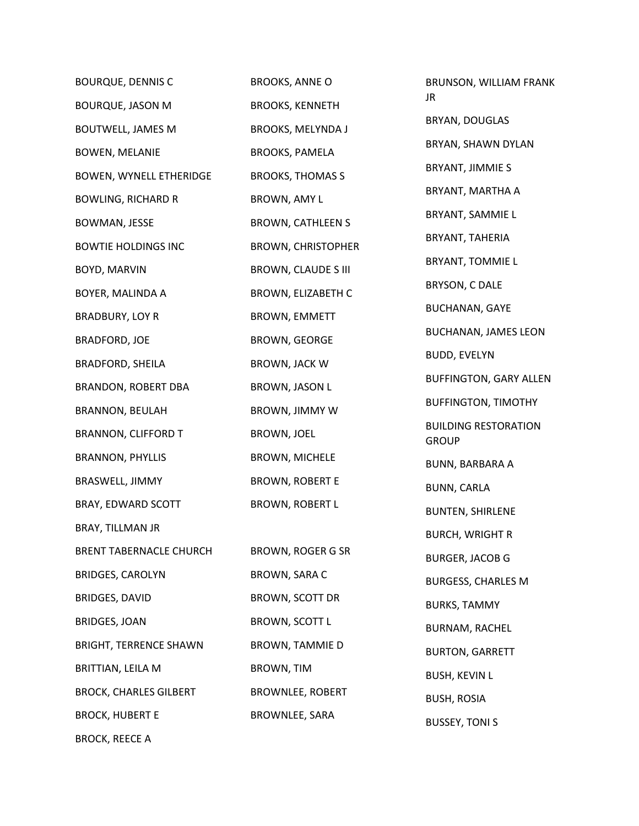| <b>BOURQUE, DENNIS C</b>      | <b>BROOKS, ANNE O</b>      | BRUNSON, WILLIAM FRANK                      |
|-------------------------------|----------------------------|---------------------------------------------|
| <b>BOURQUE, JASON M</b>       | <b>BROOKS, KENNETH</b>     | JR.                                         |
| <b>BOUTWELL, JAMES M</b>      | <b>BROOKS, MELYNDA J</b>   | BRYAN, DOUGLAS                              |
| <b>BOWEN, MELANIE</b>         | <b>BROOKS, PAMELA</b>      | BRYAN, SHAWN DYLAN                          |
| BOWEN, WYNELL ETHERIDGE       | <b>BROOKS, THOMAS S</b>    | BRYANT, JIMMIE S                            |
| <b>BOWLING, RICHARD R</b>     | BROWN, AMY L               | BRYANT, MARTHA A                            |
| <b>BOWMAN, JESSE</b>          | <b>BROWN, CATHLEEN S</b>   | BRYANT, SAMMIE L                            |
| <b>BOWTIE HOLDINGS INC</b>    | <b>BROWN, CHRISTOPHER</b>  | BRYANT, TAHERIA                             |
| BOYD, MARVIN                  | <b>BROWN, CLAUDE S III</b> | BRYANT, TOMMIE L                            |
| BOYER, MALINDA A              | BROWN, ELIZABETH C         | <b>BRYSON, C DALE</b>                       |
| <b>BRADBURY, LOY R</b>        | <b>BROWN, EMMETT</b>       | <b>BUCHANAN, GAYE</b>                       |
| <b>BRADFORD, JOE</b>          | <b>BROWN, GEORGE</b>       | <b>BUCHANAN, JAMES LEON</b>                 |
| <b>BRADFORD, SHEILA</b>       | BROWN, JACK W              | <b>BUDD, EVELYN</b>                         |
| BRANDON, ROBERT DBA           | BROWN, JASON L             | <b>BUFFINGTON, GARY ALLEN</b>               |
| <b>BRANNON, BEULAH</b>        | BROWN, JIMMY W             | <b>BUFFINGTON, TIMOTHY</b>                  |
| <b>BRANNON, CLIFFORD T</b>    | BROWN, JOEL                | <b>BUILDING RESTORATION</b><br><b>GROUP</b> |
| <b>BRANNON, PHYLLIS</b>       | <b>BROWN, MICHELE</b>      | BUNN, BARBARA A                             |
| BRASWELL, JIMMY               | <b>BROWN, ROBERT E</b>     | <b>BUNN, CARLA</b>                          |
| BRAY, EDWARD SCOTT            | <b>BROWN, ROBERT L</b>     | <b>BUNTEN, SHIRLENE</b>                     |
| <b>BRAY, TILLMAN JR</b>       |                            | <b>BURCH, WRIGHT R</b>                      |
| BRENT TABERNACLE CHURCH       | BROWN, ROGER G SR          | <b>BURGER, JACOB G</b>                      |
| <b>BRIDGES, CAROLYN</b>       | BROWN, SARA C              | <b>BURGESS, CHARLES M</b>                   |
| <b>BRIDGES, DAVID</b>         | BROWN, SCOTT DR            | <b>BURKS, TAMMY</b>                         |
| <b>BRIDGES, JOAN</b>          | <b>BROWN, SCOTT L</b>      | BURNAM, RACHEL                              |
| <b>BRIGHT, TERRENCE SHAWN</b> | <b>BROWN, TAMMIE D</b>     | <b>BURTON, GARRETT</b>                      |
| BRITTIAN, LEILA M             | <b>BROWN, TIM</b>          | <b>BUSH, KEVIN L</b>                        |
| <b>BROCK, CHARLES GILBERT</b> | <b>BROWNLEE, ROBERT</b>    |                                             |
| <b>BROCK, HUBERT E</b>        | <b>BROWNLEE, SARA</b>      | <b>BUSH, ROSIA</b>                          |
| <b>BROCK, REECE A</b>         |                            | <b>BUSSEY, TONIS</b>                        |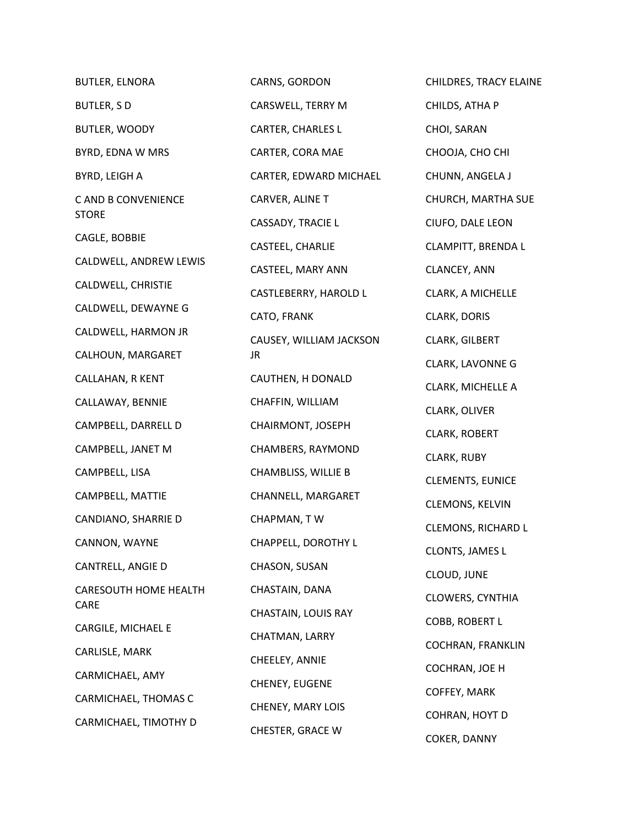| <b>BUTLER, ELNORA</b>                | CARNS, GORDON                  |  |
|--------------------------------------|--------------------------------|--|
| <b>BUTLER, SD</b>                    | CARSWELL, TERRY M              |  |
| <b>BUTLER, WOODY</b>                 | CARTER, CHARLES L              |  |
| BYRD, EDNA W MRS                     | CARTER, CORA MAE               |  |
| BYRD, LEIGH A                        | CARTER, EDWARD MICHAEL         |  |
| C AND B CONVENIENCE<br><b>STORE</b>  | CARVER, ALINE T                |  |
| CAGLE, BOBBIE                        | CASSADY, TRACIE L              |  |
| CALDWELL, ANDREW LEWIS               | CASTEEL, CHARLIE               |  |
| CALDWELL, CHRISTIE                   | CASTEEL, MARY ANN              |  |
| CALDWELL, DEWAYNE G                  | CASTLEBERRY, HAROLD L          |  |
| CALDWELL, HARMON JR                  | CATO, FRANK                    |  |
| CALHOUN, MARGARET                    | CAUSEY, WILLIAM JACKSON<br>JR. |  |
| CALLAHAN, R KENT                     | CAUTHEN, H DONALD              |  |
| CALLAWAY, BENNIE                     | CHAFFIN, WILLIAM               |  |
| CAMPBELL, DARRELL D                  | CHAIRMONT, JOSEPH              |  |
| CAMPBELL, JANET M                    | CHAMBERS, RAYMOND              |  |
| CAMPBELL, LISA                       | CHAMBLISS, WILLIE B            |  |
| CAMPBELL, MATTIE                     | CHANNELL, MARGARET             |  |
| CANDIANO, SHARRIE D                  | CHAPMAN, TW                    |  |
| CANNON, WAYNE                        | CHAPPELL, DOROTHY L            |  |
| CANTRELL, ANGIE D                    | CHASON, SUSAN                  |  |
| CARESOUTH HOME HEALTH<br><b>CARE</b> | CHASTAIN, DANA                 |  |
| CARGILE, MICHAEL E                   | CHASTAIN, LOUIS RAY            |  |
| CARLISLE, MARK                       | CHATMAN, LARRY                 |  |
| CARMICHAEL, AMY                      | CHEELEY, ANNIE                 |  |
| CARMICHAEL, THOMAS C                 | CHENEY, EUGENE                 |  |
| CARMICHAEL, TIMOTHY D                | CHENEY, MARY LOIS              |  |
|                                      | CHESTER, GRACE W               |  |

CHILDRES, TRACY ELAINE CHILDS, ATHA P CHOI, SARAN CHOOJA, CHO CHI CHUNN, ANGELA J CHURCH, MARTHA SUE CIUFO, DALE LEON CLAMPITT, BRENDA L CLANCEY, ANN CLARK, A MICHELLE CLARK, DORIS CLARK, GILBERT CLARK, LAVONNE G CLARK, MICHELLE A CLARK, OLIVER CLARK, ROBERT CLARK, RUBY CLEMENTS, EUNICE CLEMONS, KELVIN CLEMONS, RICHARD L CLONTS, JAMES L CLOUD, JUNE CLOWERS, CYNTHIA COBB, ROBERT L COCHRAN, FRANKLIN COCHRAN, JOE H COFFEY, MARK COHRAN, HOYT D COKER, DANNY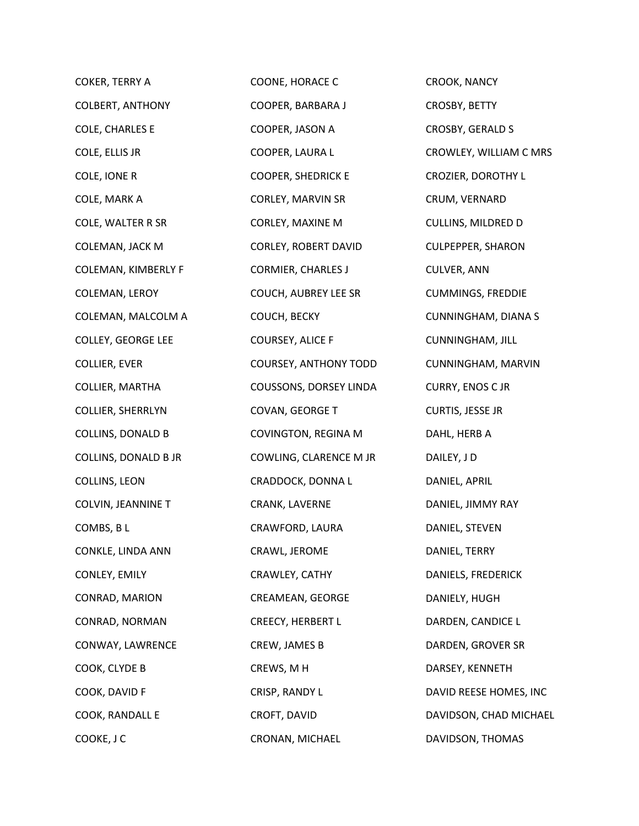| COKER, TERRY A            | <b>COONE, HORACE C</b>       | CROOK, NANCY             |
|---------------------------|------------------------------|--------------------------|
| <b>COLBERT, ANTHONY</b>   | COOPER, BARBARA J            | CROSBY, BETTY            |
| COLE, CHARLES E           | COOPER, JASON A              | CROSBY, GERALD S         |
| COLE, ELLIS JR            | COOPER, LAURA L              | CROWLEY, WILLIAM C MRS   |
| COLE, IONE R              | <b>COOPER, SHEDRICK E</b>    | CROZIER, DOROTHY L       |
| COLE, MARK A              | CORLEY, MARVIN SR            | CRUM, VERNARD            |
| COLE, WALTER R SR         | CORLEY, MAXINE M             | CULLINS, MILDRED D       |
| COLEMAN, JACK M           | CORLEY, ROBERT DAVID         | <b>CULPEPPER, SHARON</b> |
| COLEMAN, KIMBERLY F       | <b>CORMIER, CHARLES J</b>    | <b>CULVER, ANN</b>       |
| COLEMAN, LEROY            | COUCH, AUBREY LEE SR         | <b>CUMMINGS, FREDDIE</b> |
| COLEMAN, MALCOLM A        | COUCH, BECKY                 | CUNNINGHAM, DIANA S      |
| <b>COLLEY, GEORGE LEE</b> | <b>COURSEY, ALICE F</b>      | <b>CUNNINGHAM, JILL</b>  |
| COLLIER, EVER             | <b>COURSEY, ANTHONY TODD</b> | CUNNINGHAM, MARVIN       |
| COLLIER, MARTHA           | COUSSONS, DORSEY LINDA       | <b>CURRY, ENOS CJR</b>   |
| <b>COLLIER, SHERRLYN</b>  | COVAN, GEORGE T              | CURTIS, JESSE JR         |
| <b>COLLINS, DONALD B</b>  | COVINGTON, REGINA M          | DAHL, HERB A             |
| COLLINS, DONALD B JR      | COWLING, CLARENCE M JR       | DAILEY, JD               |
| COLLINS, LEON             | CRADDOCK, DONNA L            | DANIEL, APRIL            |
| <b>COLVIN, JEANNINE T</b> | CRANK, LAVERNE               | DANIEL, JIMMY RAY        |
| COMBS, BL                 | CRAWFORD, LAURA              | DANIEL, STEVEN           |
| CONKLE, LINDA ANN         | CRAWL, JEROME                | DANIEL, TERRY            |
| CONLEY, EMILY             | CRAWLEY, CATHY               | DANIELS, FREDERICK       |
| CONRAD, MARION            | CREAMEAN, GEORGE             | DANIELY, HUGH            |
| CONRAD, NORMAN            | <b>CREECY, HERBERT L</b>     | DARDEN, CANDICE L        |
| CONWAY, LAWRENCE          | CREW, JAMES B                | DARDEN, GROVER SR        |
| COOK, CLYDE B             | CREWS, M H                   | DARSEY, KENNETH          |
| COOK, DAVID F             | CRISP, RANDY L               | DAVID REESE HOMES, INC   |
| COOK, RANDALL E           | CROFT, DAVID                 | DAVIDSON, CHAD MICHAEL   |
| COOKE, J C                | CRONAN, MICHAEL              | DAVIDSON, THOMAS         |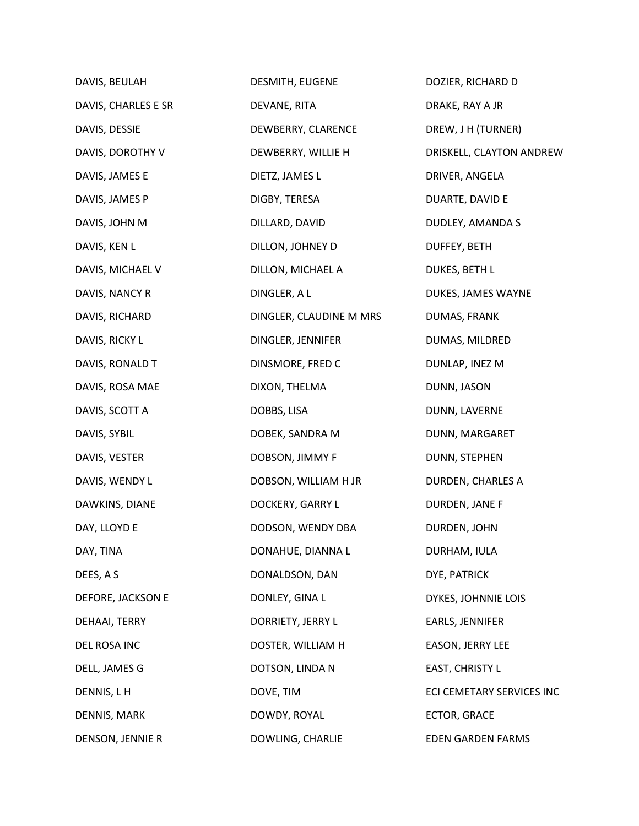| DAVIS, BEULAH       | DESMITH, EUGENE         | DOZIER, RICHARD D         |
|---------------------|-------------------------|---------------------------|
| DAVIS, CHARLES E SR | DEVANE, RITA            | DRAKE, RAY A JR           |
| DAVIS, DESSIE       | DEWBERRY, CLARENCE      | DREW, J H (TURNER)        |
| DAVIS, DOROTHY V    | DEWBERRY, WILLIE H      | DRISKELL, CLAYTON ANDREW  |
| DAVIS, JAMES E      | DIETZ, JAMES L          | DRIVER, ANGELA            |
| DAVIS, JAMES P      | DIGBY, TERESA           | DUARTE, DAVID E           |
| DAVIS, JOHN M       | DILLARD, DAVID          | DUDLEY, AMANDA S          |
| DAVIS, KEN L        | DILLON, JOHNEY D        | DUFFEY, BETH              |
| DAVIS, MICHAEL V    | DILLON, MICHAEL A       | DUKES, BETH L             |
| DAVIS, NANCY R      | DINGLER, A L            | DUKES, JAMES WAYNE        |
| DAVIS, RICHARD      | DINGLER, CLAUDINE M MRS | DUMAS, FRANK              |
| DAVIS, RICKY L      | DINGLER, JENNIFER       | DUMAS, MILDRED            |
| DAVIS, RONALD T     | DINSMORE, FRED C        | DUNLAP, INEZ M            |
| DAVIS, ROSA MAE     | DIXON, THELMA           | DUNN, JASON               |
| DAVIS, SCOTT A      | DOBBS, LISA             | DUNN, LAVERNE             |
| DAVIS, SYBIL        | DOBEK, SANDRA M         | DUNN, MARGARET            |
| DAVIS, VESTER       | DOBSON, JIMMY F         | DUNN, STEPHEN             |
| DAVIS, WENDY L      | DOBSON, WILLIAM H JR    | DURDEN, CHARLES A         |
| DAWKINS, DIANE      | DOCKERY, GARRY L        | DURDEN, JANE F            |
| DAY, LLOYD E        | DODSON, WENDY DBA       | DURDEN, JOHN              |
| DAY, TINA           | DONAHUE, DIANNA L       | DURHAM, IULA              |
| DEES, A S           | DONALDSON, DAN          | DYE, PATRICK              |
| DEFORE, JACKSON E   | DONLEY, GINA L          | DYKES, JOHNNIE LOIS       |
| DEHAAI, TERRY       | DORRIETY, JERRY L       | EARLS, JENNIFER           |
| DEL ROSA INC        | DOSTER, WILLIAM H       | EASON, JERRY LEE          |
| DELL, JAMES G       | DOTSON, LINDA N         | EAST, CHRISTY L           |
| DENNIS, LH          | DOVE, TIM               | ECI CEMETARY SERVICES INC |
| DENNIS, MARK        | DOWDY, ROYAL            | ECTOR, GRACE              |
| DENSON, JENNIE R    | DOWLING, CHARLIE        | <b>EDEN GARDEN FARMS</b>  |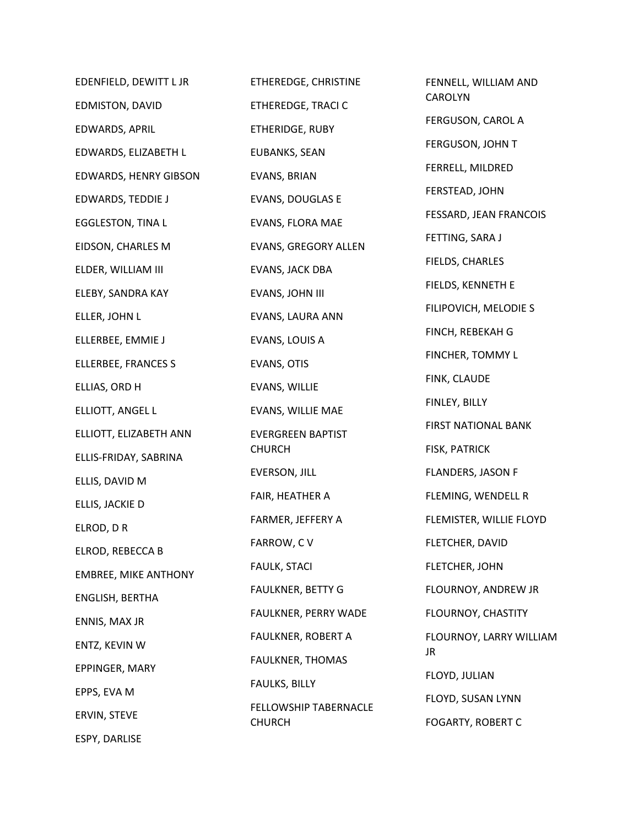| EDENFIELD, DEWITT L JR      | ETHEREDGE, CHRISTINE     | FENNELL, WILLIAM AND     |
|-----------------------------|--------------------------|--------------------------|
| EDMISTON, DAVID             | ETHEREDGE, TRACI C       | CAROLYN                  |
| EDWARDS, APRIL              | ETHERIDGE, RUBY          | FERGUSON, CAROL A        |
| EDWARDS, ELIZABETH L        | EUBANKS, SEAN            | FERGUSON, JOHN T         |
| EDWARDS, HENRY GIBSON       | EVANS, BRIAN             | FERRELL, MILDRED         |
| EDWARDS, TEDDIE J           | EVANS, DOUGLAS E         | FERSTEAD, JOHN           |
| <b>EGGLESTON, TINA L</b>    | EVANS, FLORA MAE         | FESSARD, JEAN FRANCOIS   |
| EIDSON, CHARLES M           | EVANS, GREGORY ALLEN     | FETTING, SARA J          |
| ELDER, WILLIAM III          | EVANS, JACK DBA          | FIELDS, CHARLES          |
| ELEBY, SANDRA KAY           | EVANS, JOHN III          | FIELDS, KENNETH E        |
| ELLER, JOHN L               | EVANS, LAURA ANN         | FILIPOVICH, MELODIE S    |
| ELLERBEE, EMMIE J           | EVANS, LOUIS A           | FINCH, REBEKAH G         |
| ELLERBEE, FRANCES S         | EVANS, OTIS              | FINCHER, TOMMY L         |
| ELLIAS, ORD H               | EVANS, WILLIE            | FINK, CLAUDE             |
| ELLIOTT, ANGEL L            | EVANS, WILLIE MAE        | FINLEY, BILLY            |
| ELLIOTT, ELIZABETH ANN      | <b>EVERGREEN BAPTIST</b> | FIRST NATIONAL BANK      |
| ELLIS-FRIDAY, SABRINA       | <b>CHURCH</b>            | FISK, PATRICK            |
| ELLIS, DAVID M              | EVERSON, JILL            | FLANDERS, JASON F        |
| ELLIS, JACKIE D             | FAIR, HEATHER A          | FLEMING, WENDELL R       |
| ELROD, DR                   | FARMER, JEFFERY A        | FLEMISTER, WILLIE FLOYD  |
| ELROD, REBECCA B            | FARROW, C V              | FLETCHER, DAVID          |
| <b>EMBREE, MIKE ANTHONY</b> | FAULK, STACI             | FLETCHER, JOHN           |
| ENGLISH, BERTHA             | FAULKNER, BETTY G        | FLOURNOY, ANDREW JR      |
| ENNIS, MAX JR               | FAULKNER, PERRY WADE     | FLOURNOY, CHASTITY       |
|                             | FAULKNER, ROBERT A       | FLOURNOY, LARRY WILLIAM  |
| ENTZ, KEVIN W               | FAULKNER, THOMAS         | <b>JR</b>                |
| EPPINGER, MARY              | <b>FAULKS, BILLY</b>     | FLOYD, JULIAN            |
| EPPS, EVA M                 | FELLOWSHIP TABERNACLE    | FLOYD, SUSAN LYNN        |
| ERVIN, STEVE                | <b>CHURCH</b>            | <b>FOGARTY, ROBERT C</b> |
| ESPY, DARLISE               |                          |                          |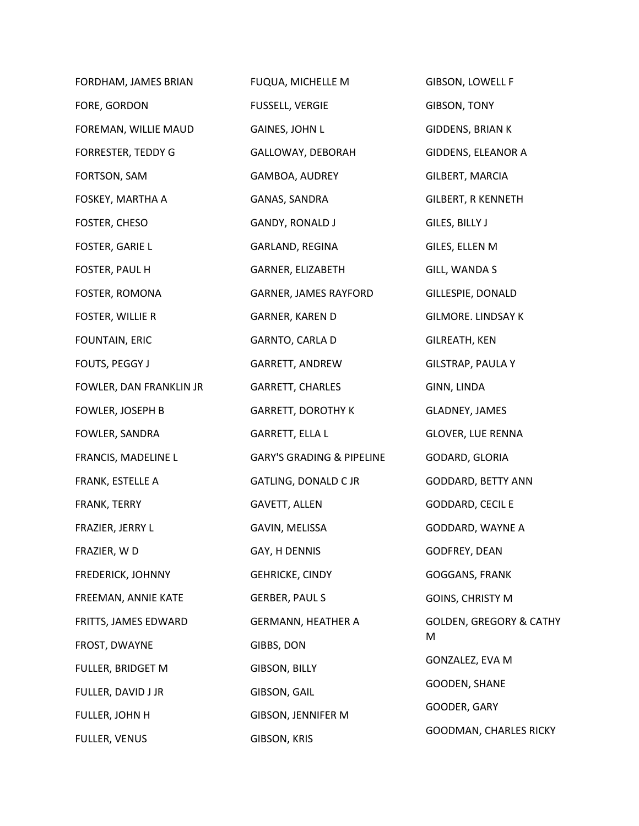| FORDHAM, JAMES BRIAN    | FUQUA, MICHELLE M                    | GIBSON, LOWELL F                   |
|-------------------------|--------------------------------------|------------------------------------|
| FORE, GORDON            | FUSSELL, VERGIE                      | GIBSON, TONY                       |
| FOREMAN, WILLIE MAUD    | GAINES, JOHN L                       | GIDDENS, BRIAN K                   |
| FORRESTER, TEDDY G      | GALLOWAY, DEBORAH                    | GIDDENS, ELEANOR A                 |
| FORTSON, SAM            | GAMBOA, AUDREY                       | GILBERT, MARCIA                    |
| FOSKEY, MARTHA A        | GANAS, SANDRA                        | <b>GILBERT, R KENNETH</b>          |
| FOSTER, CHESO           | <b>GANDY, RONALD J</b>               | GILES, BILLY J                     |
| FOSTER, GARIE L         | GARLAND, REGINA                      | GILES, ELLEN M                     |
| FOSTER, PAUL H          | GARNER, ELIZABETH                    | GILL, WANDA S                      |
| FOSTER, ROMONA          | GARNER, JAMES RAYFORD                | GILLESPIE, DONALD                  |
| FOSTER, WILLIE R        | GARNER, KAREN D                      | <b>GILMORE. LINDSAY K</b>          |
| FOUNTAIN, ERIC          | GARNTO, CARLA D                      | GILREATH, KEN                      |
| FOUTS, PEGGY J          | GARRETT, ANDREW                      | <b>GILSTRAP, PAULA Y</b>           |
| FOWLER, DAN FRANKLIN JR | GARRETT, CHARLES                     | GINN, LINDA                        |
| FOWLER, JOSEPH B        | <b>GARRETT, DOROTHY K</b>            | GLADNEY, JAMES                     |
| FOWLER, SANDRA          | <b>GARRETT, ELLA L</b>               | <b>GLOVER, LUE RENNA</b>           |
| FRANCIS, MADELINE L     | <b>GARY'S GRADING &amp; PIPELINE</b> | GODARD, GLORIA                     |
| FRANK, ESTELLE A        | GATLING, DONALD C JR                 | <b>GODDARD, BETTY ANN</b>          |
| FRANK, TERRY            | GAVETT, ALLEN                        | <b>GODDARD, CECIL E</b>            |
| FRAZIER, JERRY L        | GAVIN, MELISSA                       | GODDARD, WAYNE A                   |
| FRAZIER, WD             | GAY, H DENNIS                        | GODFREY, DEAN                      |
| FREDERICK, JOHNNY       | <b>GEHRICKE, CINDY</b>               | GOGGANS, FRANK                     |
| FREEMAN, ANNIE KATE     | <b>GERBER, PAUL S</b>                | <b>GOINS, CHRISTY M</b>            |
| FRITTS, JAMES EDWARD    | <b>GERMANN, HEATHER A</b>            | <b>GOLDEN, GREGORY &amp; CATHY</b> |
| FROST, DWAYNE           | GIBBS, DON                           | M                                  |
| FULLER, BRIDGET M       | GIBSON, BILLY                        | GONZALEZ, EVA M                    |
| FULLER, DAVID J JR      | GIBSON, GAIL                         | GOODEN, SHANE                      |
| FULLER, JOHN H          | GIBSON, JENNIFER M                   | GOODER, GARY                       |
| FULLER, VENUS           | GIBSON, KRIS                         | GOODMAN, CHARLES RICKY             |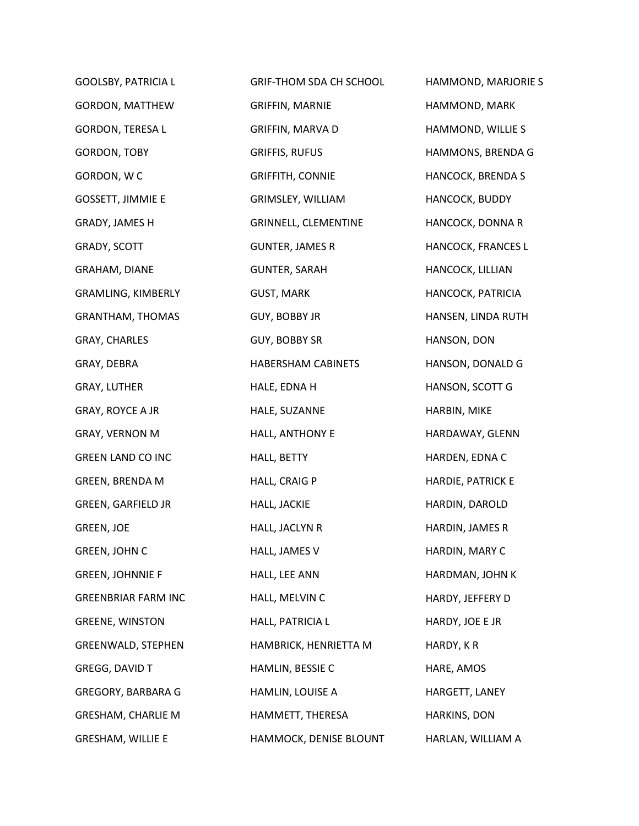| <b>GOOLSBY, PATRICIA L</b> | GRIF-THOM SDA CH SCHOOL | HAMMOND, MARJORIE S |
|----------------------------|-------------------------|---------------------|
| <b>GORDON, MATTHEW</b>     | <b>GRIFFIN, MARNIE</b>  | HAMMOND, MARK       |
| GORDON, TERESA L           | GRIFFIN, MARVA D        | HAMMOND, WILLIE S   |
| <b>GORDON, TOBY</b>        | <b>GRIFFIS, RUFUS</b>   | HAMMONS, BRENDA G   |
| GORDON, WC                 | <b>GRIFFITH, CONNIE</b> | HANCOCK, BRENDA S   |
| <b>GOSSETT, JIMMIE E</b>   | GRIMSLEY, WILLIAM       | HANCOCK, BUDDY      |
| GRADY, JAMES H             | GRINNELL, CLEMENTINE    | HANCOCK, DONNA R    |
| GRADY, SCOTT               | <b>GUNTER, JAMES R</b>  | HANCOCK, FRANCES L  |
| GRAHAM, DIANE              | <b>GUNTER, SARAH</b>    | HANCOCK, LILLIAN    |
| GRAMLING, KIMBERLY         | <b>GUST, MARK</b>       | HANCOCK, PATRICIA   |
| <b>GRANTHAM, THOMAS</b>    | GUY, BOBBY JR           | HANSEN, LINDA RUTH  |
| GRAY, CHARLES              | GUY, BOBBY SR           | HANSON, DON         |
| GRAY, DEBRA                | HABERSHAM CABINETS      | HANSON, DONALD G    |
| <b>GRAY, LUTHER</b>        | HALE, EDNA H            | HANSON, SCOTT G     |
| GRAY, ROYCE A JR           | HALE, SUZANNE           | HARBIN, MIKE        |
| GRAY, VERNON M             | HALL, ANTHONY E         | HARDAWAY, GLENN     |
| <b>GREEN LAND CO INC</b>   | HALL, BETTY             | HARDEN, EDNA C      |
| GREEN, BRENDA M            | HALL, CRAIG P           | HARDIE, PATRICK E   |
| GREEN, GARFIELD JR         | HALL, JACKIE            | HARDIN, DAROLD      |
| GREEN, JOE                 | HALL, JACLYN R          | HARDIN, JAMES R     |
| GREEN, JOHN C              | HALL, JAMES V           | HARDIN, MARY C      |
| <b>GREEN, JOHNNIE F</b>    | HALL, LEE ANN           | HARDMAN, JOHN K     |
| <b>GREENBRIAR FARM INC</b> | HALL, MELVIN C          | HARDY, JEFFERY D    |
| <b>GREENE, WINSTON</b>     | HALL, PATRICIA L        | HARDY, JOE E JR     |
| GREENWALD, STEPHEN         | HAMBRICK, HENRIETTA M   | HARDY, KR           |
| GREGG, DAVID T             | HAMLIN, BESSIE C        | HARE, AMOS          |
| GREGORY, BARBARA G         | HAMLIN, LOUISE A        | HARGETT, LANEY      |
| GRESHAM, CHARLIE M         | HAMMETT, THERESA        | HARKINS, DON        |
| <b>GRESHAM, WILLIE E</b>   | HAMMOCK, DENISE BLOUNT  | HARLAN, WILLIAM A   |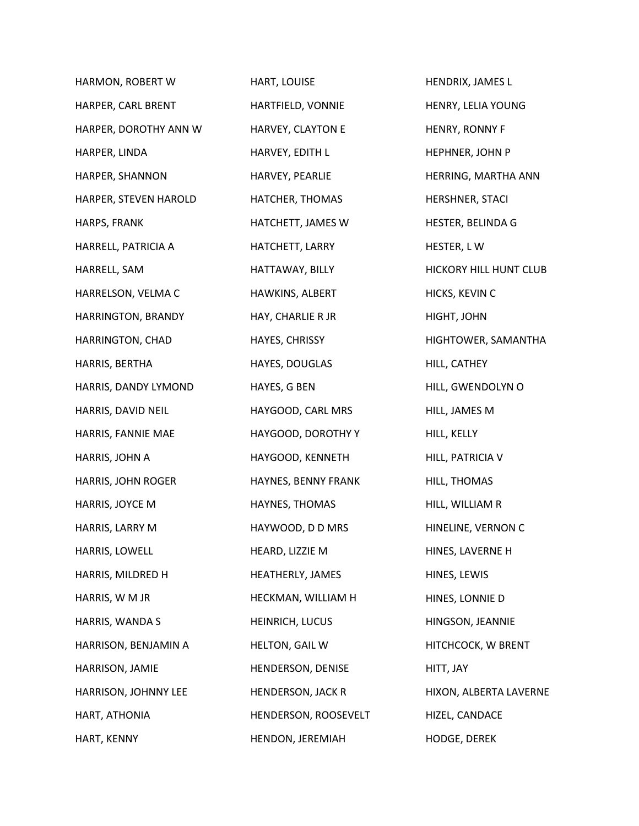| HARMON, ROBERT W      | HART, LOUISE             | HENDRIX, JAMES L       |
|-----------------------|--------------------------|------------------------|
| HARPER, CARL BRENT    | HARTFIELD, VONNIE        | HENRY, LELIA YOUNG     |
| HARPER, DOROTHY ANN W | HARVEY, CLAYTON E        | HENRY, RONNY F         |
| HARPER, LINDA         | HARVEY, EDITH L          | HEPHNER, JOHN P        |
| HARPER, SHANNON       | HARVEY, PEARLIE          | HERRING, MARTHA ANN    |
| HARPER, STEVEN HAROLD | HATCHER, THOMAS          | HERSHNER, STACI        |
| HARPS, FRANK          | HATCHETT, JAMES W        | HESTER, BELINDA G      |
| HARRELL, PATRICIA A   | HATCHETT, LARRY          | HESTER, LW             |
| HARRELL, SAM          | HATTAWAY, BILLY          | HICKORY HILL HUNT CLUB |
| HARRELSON, VELMA C    | HAWKINS, ALBERT          | HICKS, KEVIN C         |
| HARRINGTON, BRANDY    | HAY, CHARLIE R JR        | HIGHT, JOHN            |
| HARRINGTON, CHAD      | HAYES, CHRISSY           | HIGHTOWER, SAMANTHA    |
| HARRIS, BERTHA        | HAYES, DOUGLAS           | HILL, CATHEY           |
| HARRIS, DANDY LYMOND  | HAYES, G BEN             | HILL, GWENDOLYN O      |
| HARRIS, DAVID NEIL    | HAYGOOD, CARL MRS        | HILL, JAMES M          |
| HARRIS, FANNIE MAE    | HAYGOOD, DOROTHY Y       | HILL, KELLY            |
| HARRIS, JOHN A        | HAYGOOD, KENNETH         | HILL, PATRICIA V       |
| HARRIS, JOHN ROGER    | HAYNES, BENNY FRANK      | HILL, THOMAS           |
| HARRIS, JOYCE M       | HAYNES, THOMAS           | HILL, WILLIAM R        |
| HARRIS, LARRY M       | HAYWOOD, D D MRS         | HINELINE, VERNON C     |
| HARRIS, LOWELL        | HEARD, LIZZIE M          | HINES, LAVERNE H       |
| HARRIS, MILDRED H     | HEATHERLY, JAMES         | HINES, LEWIS           |
| HARRIS, W M JR        | HECKMAN, WILLIAM H       | HINES, LONNIE D        |
| HARRIS, WANDA S       | HEINRICH, LUCUS          | HINGSON, JEANNIE       |
| HARRISON, BENJAMIN A  | HELTON, GAIL W           | HITCHCOCK, W BRENT     |
| HARRISON, JAMIE       | HENDERSON, DENISE        | HITT, JAY              |
| HARRISON, JOHNNY LEE  | <b>HENDERSON, JACK R</b> | HIXON, ALBERTA LAVERNE |
| HART, ATHONIA         | HENDERSON, ROOSEVELT     | HIZEL, CANDACE         |
| HART, KENNY           | HENDON, JEREMIAH         | HODGE, DEREK           |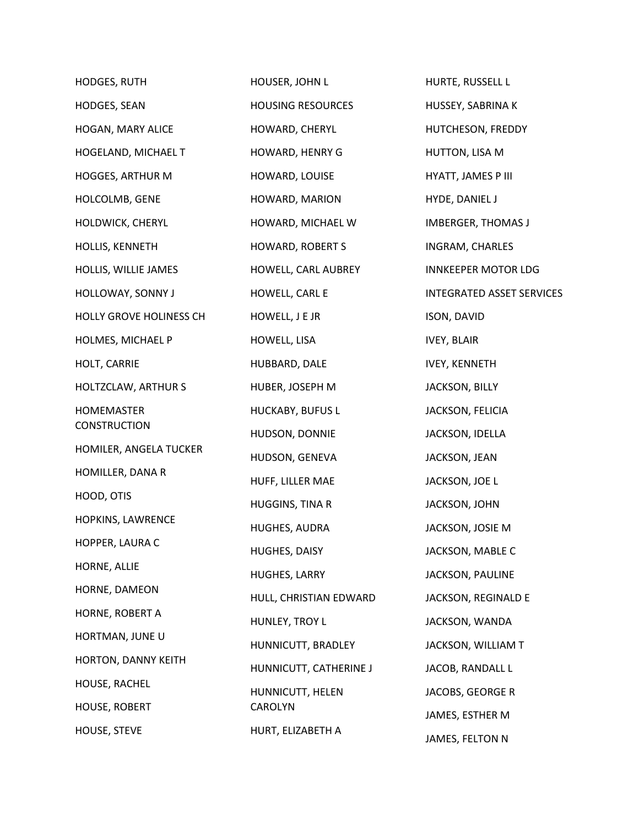| <b>HODGES, RUTH</b>     | HOUSER, JOHN L           | HURTE, RUSSELL L                 |
|-------------------------|--------------------------|----------------------------------|
| HODGES, SEAN            | <b>HOUSING RESOURCES</b> | HUSSEY, SABRINA K                |
| HOGAN, MARY ALICE       | HOWARD, CHERYL           | HUTCHESON, FREDDY                |
| HOGELAND, MICHAEL T     | HOWARD, HENRY G          | HUTTON, LISA M                   |
| HOGGES, ARTHUR M        | HOWARD, LOUISE           | HYATT, JAMES P III               |
| HOLCOLMB, GENE          | HOWARD, MARION           | HYDE, DANIEL J                   |
| HOLDWICK, CHERYL        | HOWARD, MICHAEL W        | <b>IMBERGER, THOMAS J</b>        |
| HOLLIS, KENNETH         | HOWARD, ROBERT S         | INGRAM, CHARLES                  |
| HOLLIS, WILLIE JAMES    | HOWELL, CARL AUBREY      | <b>INNKEEPER MOTOR LDG</b>       |
| HOLLOWAY, SONNY J       | HOWELL, CARL E           | <b>INTEGRATED ASSET SERVICES</b> |
| HOLLY GROVE HOLINESS CH | HOWELL, J E JR           | ISON, DAVID                      |
| HOLMES, MICHAEL P       | HOWELL, LISA             | <b>IVEY, BLAIR</b>               |
| HOLT, CARRIE            | HUBBARD, DALE            | <b>IVEY, KENNETH</b>             |
| HOLTZCLAW, ARTHUR S     | HUBER, JOSEPH M          | JACKSON, BILLY                   |
| HOMEMASTER              | HUCKABY, BUFUS L         | JACKSON, FELICIA                 |
| <b>CONSTRUCTION</b>     | HUDSON, DONNIE           | JACKSON, IDELLA                  |
| HOMILER, ANGELA TUCKER  | HUDSON, GENEVA           | JACKSON, JEAN                    |
| HOMILLER, DANA R        | HUFF, LILLER MAE         | JACKSON, JOE L                   |
| HOOD, OTIS              | HUGGINS, TINA R          | JACKSON, JOHN                    |
| HOPKINS, LAWRENCE       | HUGHES, AUDRA            | JACKSON, JOSIE M                 |
| HOPPER, LAURA C         | HUGHES, DAISY            | JACKSON, MABLE C                 |
| HORNE, ALLIE            | HUGHES, LARRY            | JACKSON, PAULINE                 |
| HORNE, DAMEON           | HULL, CHRISTIAN EDWARD   | JACKSON, REGINALD E              |
| HORNE, ROBERT A         | HUNLEY, TROY L           | JACKSON, WANDA                   |
| HORTMAN, JUNE U         | HUNNICUTT, BRADLEY       | JACKSON, WILLIAM T               |
| HORTON, DANNY KEITH     | HUNNICUTT, CATHERINE J   | JACOB, RANDALL L                 |
| HOUSE, RACHEL           | HUNNICUTT, HELEN         | JACOBS, GEORGE R                 |
| HOUSE, ROBERT           | CAROLYN                  | JAMES, ESTHER M                  |
| HOUSE, STEVE            | HURT, ELIZABETH A        | JAMES, FELTON N                  |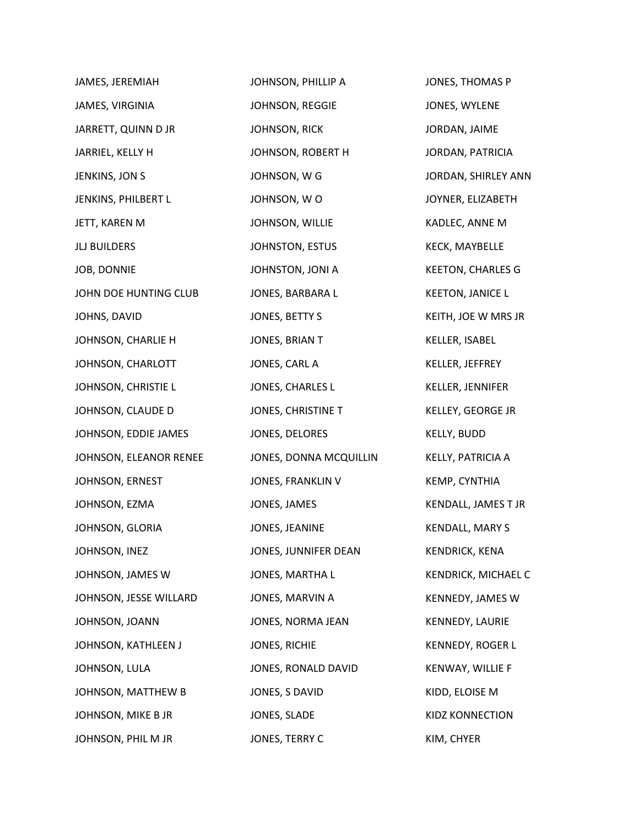| JAMES, JEREMIAH        | JOHNSON, PHILLIP A     | JONES, THOMAS P          |
|------------------------|------------------------|--------------------------|
| JAMES, VIRGINIA        | JOHNSON, REGGIE        | JONES, WYLENE            |
| JARRETT, QUINN D JR    | JOHNSON, RICK          | JORDAN, JAIME            |
| JARRIEL, KELLY H       | JOHNSON, ROBERT H      | JORDAN, PATRICIA         |
| JENKINS, JON S         | JOHNSON, W G           | JORDAN, SHIRLEY ANN      |
| JENKINS, PHILBERT L    | JOHNSON, WO            | JOYNER, ELIZABETH        |
| JETT, KAREN M          | JOHNSON, WILLIE        | KADLEC, ANNE M           |
| <b>JLJ BUILDERS</b>    | JOHNSTON, ESTUS        | KECK, MAYBELLE           |
| JOB, DONNIE            | JOHNSTON, JONI A       | <b>KEETON, CHARLES G</b> |
| JOHN DOE HUNTING CLUB  | JONES, BARBARA L       | <b>KEETON, JANICE L</b>  |
| JOHNS, DAVID           | JONES, BETTY S         | KEITH, JOE W MRS JR      |
| JOHNSON, CHARLIE H     | JONES, BRIAN T         | KELLER, ISABEL           |
| JOHNSON, CHARLOTT      | JONES, CARL A          | KELLER, JEFFREY          |
| JOHNSON, CHRISTIE L    | JONES, CHARLES L       | KELLER, JENNIFER         |
| JOHNSON, CLAUDE D      | JONES, CHRISTINE T     | KELLEY, GEORGE JR        |
| JOHNSON, EDDIE JAMES   | JONES, DELORES         | KELLY, BUDD              |
| JOHNSON, ELEANOR RENEE | JONES, DONNA MCQUILLIN | KELLY, PATRICIA A        |
| JOHNSON, ERNEST        | JONES, FRANKLIN V      | KEMP, CYNTHIA            |
| JOHNSON, EZMA          | JONES, JAMES           | KENDALL, JAMES T JR      |
| JOHNSON, GLORIA        | JONES, JEANINE         | <b>KENDALL, MARY S</b>   |
| JOHNSON, INEZ          | JONES, JUNNIFER DEAN   | KENDRICK, KENA           |
| JOHNSON, JAMES W       | JONES, MARTHA L        | KENDRICK, MICHAEL C      |
| JOHNSON, JESSE WILLARD | JONES, MARVIN A        | KENNEDY, JAMES W         |
| JOHNSON, JOANN         | JONES, NORMA JEAN      | KENNEDY, LAURIE          |
| JOHNSON, KATHLEEN J    | JONES, RICHIE          | KENNEDY, ROGER L         |
| JOHNSON, LULA          | JONES, RONALD DAVID    | KENWAY, WILLIE F         |
| JOHNSON, MATTHEW B     | JONES, S DAVID         | KIDD, ELOISE M           |
| JOHNSON, MIKE B JR     | JONES, SLADE           | <b>KIDZ KONNECTION</b>   |
| JOHNSON, PHIL M JR     | JONES, TERRY C         | KIM, CHYER               |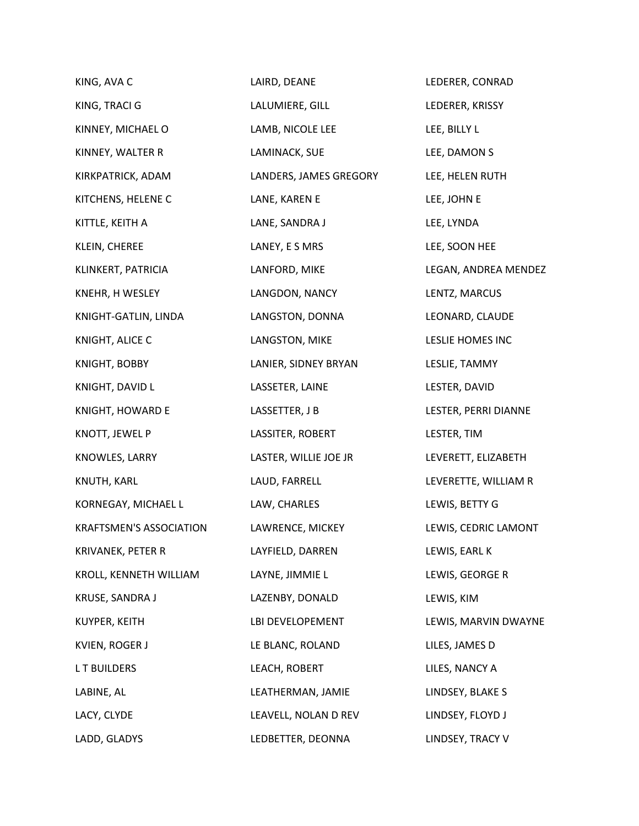| KING, AVA C                    | LAIRD, DEANE           | LEDERER, CONRAD      |
|--------------------------------|------------------------|----------------------|
| KING, TRACI G                  | LALUMIERE, GILL        | LEDERER, KRISSY      |
| KINNEY, MICHAEL O              | LAMB, NICOLE LEE       | LEE, BILLY L         |
| KINNEY, WALTER R               | LAMINACK, SUE          | LEE, DAMON S         |
| KIRKPATRICK, ADAM              | LANDERS, JAMES GREGORY | LEE, HELEN RUTH      |
| KITCHENS, HELENE C             | LANE, KAREN E          | LEE, JOHN E          |
| KITTLE, KEITH A                | LANE, SANDRA J         | LEE, LYNDA           |
| KLEIN, CHEREE                  | LANEY, E S MRS         | LEE, SOON HEE        |
| KLINKERT, PATRICIA             | LANFORD, MIKE          | LEGAN, ANDREA MENDEZ |
| KNEHR, H WESLEY                | LANGDON, NANCY         | LENTZ, MARCUS        |
| KNIGHT-GATLIN, LINDA           | LANGSTON, DONNA        | LEONARD, CLAUDE      |
| KNIGHT, ALICE C                | LANGSTON, MIKE         | LESLIE HOMES INC     |
| KNIGHT, BOBBY                  | LANIER, SIDNEY BRYAN   | LESLIE, TAMMY        |
| KNIGHT, DAVID L                | LASSETER, LAINE        | LESTER, DAVID        |
| KNIGHT, HOWARD E               | LASSETTER, J B         | LESTER, PERRI DIANNE |
| KNOTT, JEWEL P                 | LASSITER, ROBERT       | LESTER, TIM          |
| KNOWLES, LARRY                 | LASTER, WILLIE JOE JR  | LEVERETT, ELIZABETH  |
| KNUTH, KARL                    | LAUD, FARRELL          | LEVERETTE, WILLIAM R |
| KORNEGAY, MICHAEL L            | LAW, CHARLES           | LEWIS, BETTY G       |
| <b>KRAFTSMEN'S ASSOCIATION</b> | LAWRENCE, MICKEY       | LEWIS, CEDRIC LAMONT |
| KRIVANEK, PETER R              | LAYFIELD, DARREN       | LEWIS, EARL K        |
| KROLL, KENNETH WILLIAM         | LAYNE, JIMMIE L        | LEWIS, GEORGE R      |
| KRUSE, SANDRA J                | LAZENBY, DONALD        | LEWIS, KIM           |
| KUYPER, KEITH                  | LBI DEVELOPEMENT       | LEWIS, MARVIN DWAYNE |
| KVIEN, ROGER J                 | LE BLANC, ROLAND       | LILES, JAMES D       |
| L T BUILDERS                   | LEACH, ROBERT          | LILES, NANCY A       |
| LABINE, AL                     | LEATHERMAN, JAMIE      | LINDSEY, BLAKE S     |
| LACY, CLYDE                    | LEAVELL, NOLAN D REV   | LINDSEY, FLOYD J     |
| LADD, GLADYS                   | LEDBETTER, DEONNA      | LINDSEY, TRACY V     |
|                                |                        |                      |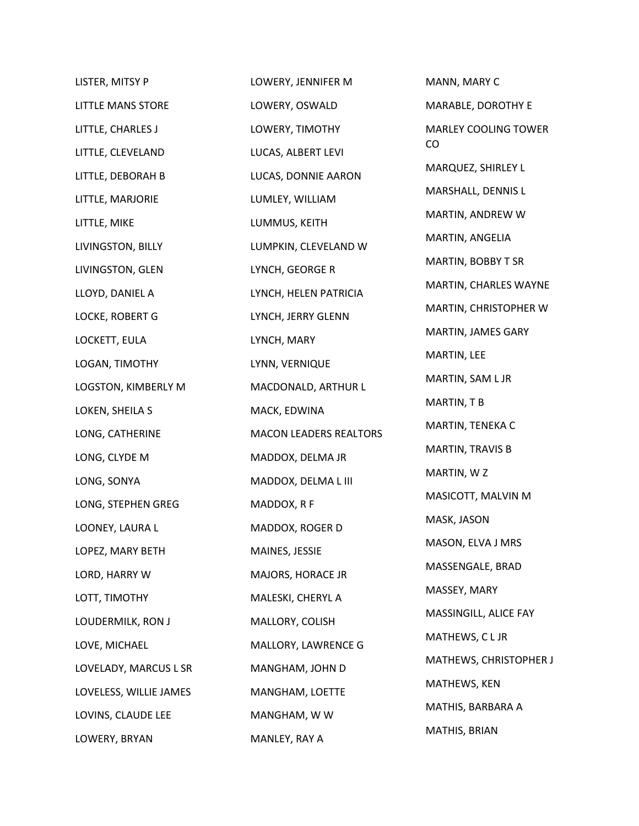| LISTER, MITSY P        | LOWERY, JENNIFER M            |
|------------------------|-------------------------------|
| LITTLE MANS STORE      | LOWERY, OSWALD                |
| LITTLE, CHARLES J      | LOWERY, TIMOTHY               |
| LITTLE, CLEVELAND      | LUCAS, ALBERT LEVI            |
| LITTLE, DEBORAH B      | LUCAS, DONNIE AARON           |
| LITTLE, MARJORIE       | LUMLEY, WILLIAM               |
| LITTLE, MIKE           | LUMMUS, KEITH                 |
| LIVINGSTON, BILLY      | LUMPKIN, CLEVELAND W          |
| LIVINGSTON, GLEN       | LYNCH, GEORGE R               |
| LLOYD, DANIEL A        | LYNCH, HELEN PATRICIA         |
| LOCKE, ROBERT G        | LYNCH, JERRY GLENN            |
| LOCKETT, EULA          | LYNCH, MARY                   |
| LOGAN, TIMOTHY         | LYNN, VERNIQUE                |
| LOGSTON, KIMBERLY M    | MACDONALD, ARTHUR L           |
| LOKEN, SHEILA S        | MACK, EDWINA                  |
| LONG, CATHERINE        | <b>MACON LEADERS REALTORS</b> |
| LONG, CLYDE M          | MADDOX, DELMA JR              |
| LONG, SONYA            | MADDOX, DELMA L III           |
| LONG, STEPHEN GREG     | MADDOX, R F                   |
| LOONEY, LAURA L        | MADDOX, ROGER D               |
| LOPEZ, MARY BETH       | MAINES, JESSIE                |
| LORD, HARRY W          | MAJORS, HORACE JR             |
| LOTT, TIMOTHY          | MALESKI, CHERYL A             |
| LOUDERMILK, RON J      | MALLORY, COLISH               |
| LOVE, MICHAEL          | MALLORY, LAWRENCE G           |
| LOVELADY, MARCUS L SR  | MANGHAM, JOHN D               |
| LOVELESS, WILLIE JAMES | MANGHAM, LOETTE               |
| LOVINS, CLAUDE LEE     | MANGHAM, W W                  |
| LOWERY, BRYAN          | MANLEY, RAY A                 |

MANN, MARY C MARABLE, DOROTHY E MARLEY COOLING TOWER CO MARQUEZ, SHIRLEY L MARSHALL, DENNIS L MARTIN, ANDREW W MARTIN, ANGELIA MARTIN, BOBBY T SR MARTIN, CHARLES WAYNE MARTIN, CHRISTOPHER W MARTIN, JAMES GARY MARTIN, LEE MARTIN, SAM L JR MARTIN, T B MARTIN, TENEKA C MARTIN, TRAVIS B MARTIN, W Z MASICOTT, MALVIN M MASK, JASON MASON, ELVA J MRS MASSENGALE, BRAD MASSEY, MARY MASSINGILL, ALICE FAY MATHEWS, C L JR MATHEWS, CHRISTOPHER J MATHEWS, KEN MATHIS, BARBARA A MATHIS, BRIAN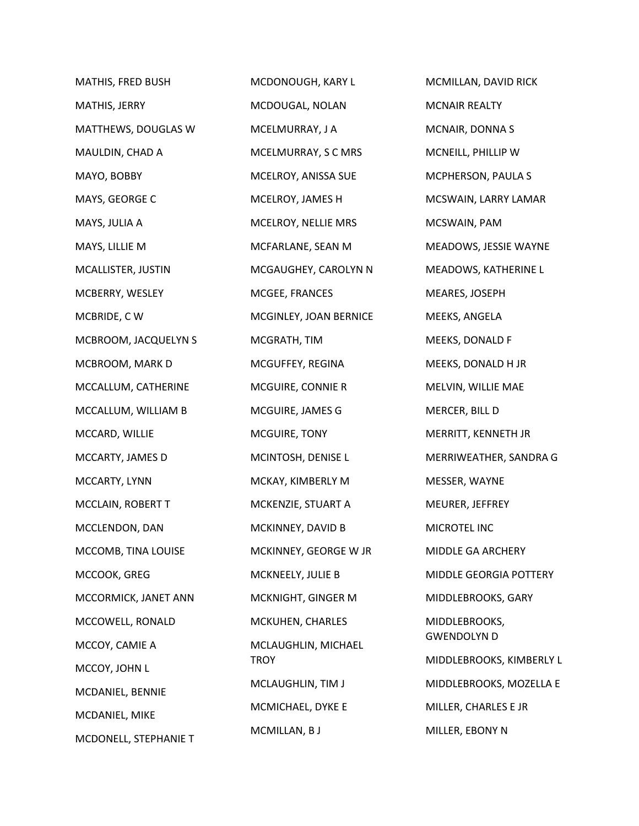| MATHIS, FRED BUSH     | MCDONOUGH, KARY L      |
|-----------------------|------------------------|
| MATHIS, JERRY         | MCDOUGAL, NOLAN        |
| MATTHEWS, DOUGLAS W   | MCELMURRAY, J A        |
| MAULDIN, CHAD A       | MCELMURRAY, SCMRS      |
| MAYO, BOBBY           | MCELROY, ANISSA SUE    |
| MAYS, GEORGE C        | MCELROY, JAMES H       |
| MAYS, JULIA A         | MCELROY, NELLIE MRS    |
| MAYS, LILLIE M        | MCFARLANE, SEAN M      |
| MCALLISTER, JUSTIN    | MCGAUGHEY, CAROLYN N   |
| MCBERRY, WESLEY       | MCGEE, FRANCES         |
| MCBRIDE, CW           | MCGINLEY, JOAN BERNICE |
| MCBROOM, JACQUELYN S  | MCGRATH, TIM           |
| MCBROOM, MARK D       | MCGUFFEY, REGINA       |
| MCCALLUM, CATHERINE   | MCGUIRE, CONNIE R      |
| MCCALLUM, WILLIAM B   | MCGUIRE, JAMES G       |
| MCCARD, WILLIE        | MCGUIRE, TONY          |
| MCCARTY, JAMES D      | MCINTOSH, DENISE L     |
| MCCARTY, LYNN         | MCKAY, KIMBERLY M      |
| MCCLAIN, ROBERT T     | MCKENZIE, STUART A     |
| MCCLENDON, DAN        | MCKINNEY, DAVID B      |
| MCCOMB, TINA LOUISE   | MCKINNEY, GEORGE W JR  |
| MCCOOK, GREG          | MCKNEELY, JULIE B      |
| MCCORMICK, JANET ANN  | MCKNIGHT, GINGER M     |
| MCCOWELL, RONALD      | MCKUHEN, CHARLES       |
| MCCOY, CAMIE A        | MCLAUGHLIN, MICHAEL    |
| MCCOY, JOHN L         | <b>TROY</b>            |
| MCDANIEL, BENNIE      | MCLAUGHLIN, TIM J      |
| MCDANIEL, MIKE        | MCMICHAEL, DYKE E      |
| MCDONELL, STEPHANIE T | MCMILLAN, BJ           |

MCMILLAN, DAVID RICK MCNAIR REALTY MCNAIR, DONNA S MCNEILL, PHILLIP W MCPHERSON, PAULA S MCSWAIN, LARRY LAMAR MCSWAIN, PAM MEADOWS, JESSIE WAYNE MEADOWS, KATHERINE L MEARES, JOSEPH MEEKS, ANGELA MEEKS, DONALD F MEEKS, DONALD H JR MELVIN, WILLIE MAE MERCER, BILL D MERRITT, KENNETH JR MERRIWEATHER, SANDRA G MESSER, WAYNE MEURER, JEFFREY MICROTEL INC MIDDLE GA ARCHERY MIDDLE GEORGIA POTTERY MIDDLEBROOKS, GARY MIDDLEBROOKS, GWENDOLYN D MIDDLEBROOKS, KIMBERLY L MIDDLEBROOKS, MOZELLA E MILLER, CHARLES E JR MILLER, EBONY N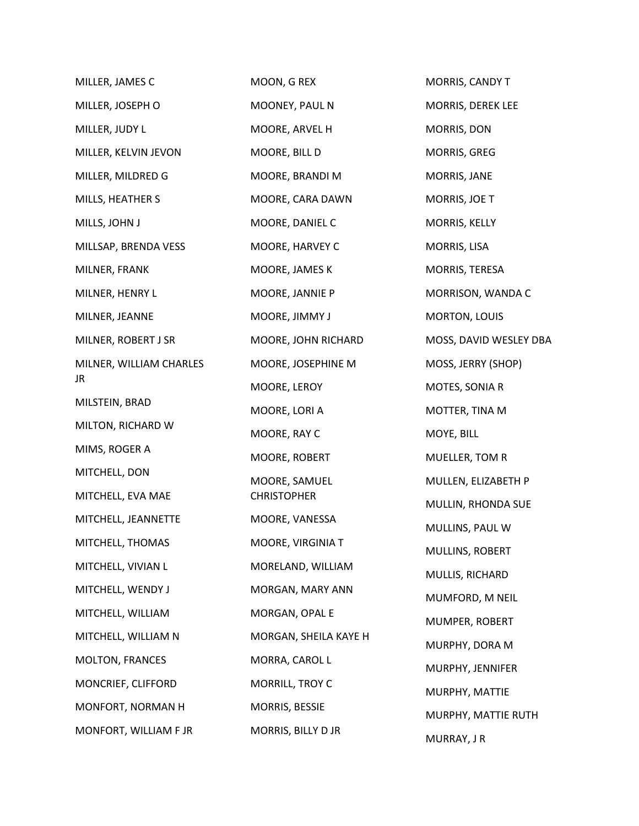| MILLER, JAMES C         | MOON, G REX           | MORRIS, CANDY T        |
|-------------------------|-----------------------|------------------------|
| MILLER, JOSEPH O        | MOONEY, PAUL N        | MORRIS, DEREK LEE      |
| MILLER, JUDY L          | MOORE, ARVEL H        | MORRIS, DON            |
| MILLER, KELVIN JEVON    | MOORE, BILL D         | MORRIS, GREG           |
| MILLER, MILDRED G       | MOORE, BRANDI M       | MORRIS, JANE           |
| MILLS, HEATHER S        | MOORE, CARA DAWN      | MORRIS, JOE T          |
| MILLS, JOHN J           | MOORE, DANIEL C       | MORRIS, KELLY          |
| MILLSAP, BRENDA VESS    | MOORE, HARVEY C       | MORRIS, LISA           |
| MILNER, FRANK           | MOORE, JAMES K        | MORRIS, TERESA         |
| MILNER, HENRY L         | MOORE, JANNIE P       | MORRISON, WANDA C      |
| MILNER, JEANNE          | MOORE, JIMMY J        | MORTON, LOUIS          |
| MILNER, ROBERT J SR     | MOORE, JOHN RICHARD   | MOSS, DAVID WESLEY DBA |
| MILNER, WILLIAM CHARLES | MOORE, JOSEPHINE M    | MOSS, JERRY (SHOP)     |
| JR                      | MOORE, LEROY          | MOTES, SONIA R         |
| MILSTEIN, BRAD          | MOORE, LORI A         | MOTTER, TINA M         |
| MILTON, RICHARD W       | MOORE, RAY C          | MOYE, BILL             |
| MIMS, ROGER A           | MOORE, ROBERT         | MUELLER, TOM R         |
| MITCHELL, DON           | MOORE, SAMUEL         | MULLEN, ELIZABETH P    |
| MITCHELL, EVA MAE       | <b>CHRISTOPHER</b>    | MULLIN, RHONDA SUE     |
| MITCHELL, JEANNETTE     | MOORE, VANESSA        | MULLINS, PAUL W        |
| MITCHELL, THOMAS        | MOORE, VIRGINIA T     | MULLINS, ROBERT        |
| MITCHELL, VIVIAN L      | MORELAND, WILLIAM     | MULLIS, RICHARD        |
| MITCHELL, WENDY J       | MORGAN, MARY ANN      | MUMFORD, M NEIL        |
| MITCHELL, WILLIAM       | MORGAN, OPAL E        | MUMPER, ROBERT         |
| MITCHELL, WILLIAM N     | MORGAN, SHEILA KAYE H | MURPHY, DORA M         |
| <b>MOLTON, FRANCES</b>  | MORRA, CAROL L        | MURPHY, JENNIFER       |
| MONCRIEF, CLIFFORD      | MORRILL, TROY C       | MURPHY, MATTIE         |
| MONFORT, NORMAN H       | MORRIS, BESSIE        | MURPHY, MATTIE RUTH    |
| MONFORT, WILLIAM F JR   | MORRIS, BILLY D JR    | MURRAY, J R            |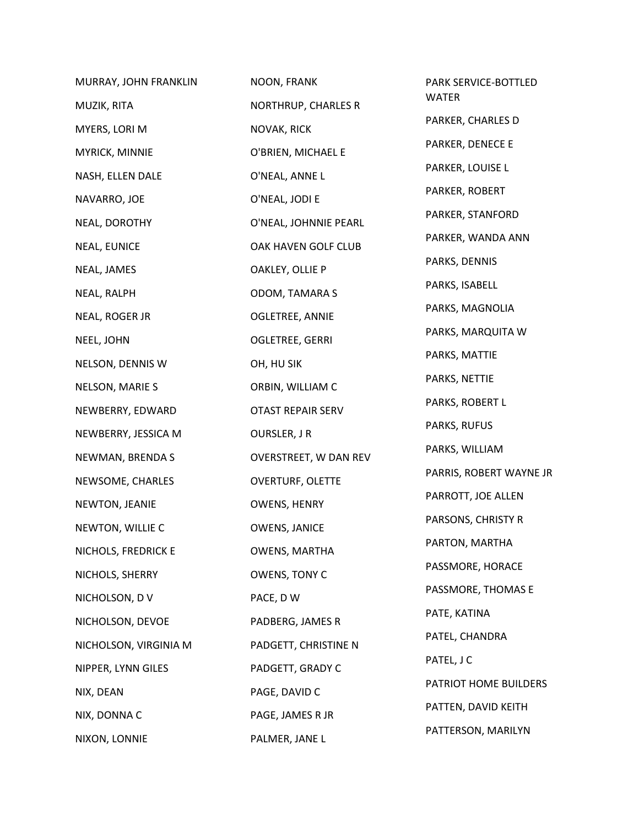| MURRAY, JOHN FRANKLIN | NOON, FRANK                | PARK SERVICE-BOTTLED    |
|-----------------------|----------------------------|-------------------------|
| MUZIK, RITA           | <b>NORTHRUP, CHARLES R</b> | <b>WATER</b>            |
| MYERS, LORI M         | NOVAK, RICK                | PARKER, CHARLES D       |
| MYRICK, MINNIE        | O'BRIEN, MICHAEL E         | PARKER, DENECE E        |
| NASH, ELLEN DALE      | O'NEAL, ANNE L             | PARKER, LOUISE L        |
| NAVARRO, JOE          | O'NEAL, JODI E             | PARKER, ROBERT          |
| NEAL, DOROTHY         | O'NEAL, JOHNNIE PEARL      | PARKER, STANFORD        |
| NEAL, EUNICE          | OAK HAVEN GOLF CLUB        | PARKER, WANDA ANN       |
| NEAL, JAMES           | OAKLEY, OLLIE P            | PARKS, DENNIS           |
| NEAL, RALPH           | ODOM, TAMARA S             | PARKS, ISABELL          |
| NEAL, ROGER JR        | <b>OGLETREE, ANNIE</b>     | PARKS, MAGNOLIA         |
| NEEL, JOHN            | <b>OGLETREE, GERRI</b>     | PARKS, MARQUITA W       |
| NELSON, DENNIS W      | OH, HU SIK                 | PARKS, MATTIE           |
| NELSON, MARIE S       | ORBIN, WILLIAM C           | PARKS, NETTIE           |
| NEWBERRY, EDWARD      | <b>OTAST REPAIR SERV</b>   | PARKS, ROBERT L         |
| NEWBERRY, JESSICA M   | OURSLER, J R               | PARKS, RUFUS            |
| NEWMAN, BRENDA S      | OVERSTREET, W DAN REV      | PARKS, WILLIAM          |
| NEWSOME, CHARLES      | <b>OVERTURF, OLETTE</b>    | PARRIS, ROBERT WAYNE JR |
| NEWTON, JEANIE        | OWENS, HENRY               | PARROTT, JOE ALLEN      |
| NEWTON, WILLIE C      | <b>OWENS, JANICE</b>       | PARSONS, CHRISTY R      |
| NICHOLS, FREDRICK E   | <b>OWENS, MARTHA</b>       | PARTON, MARTHA          |
| NICHOLS, SHERRY       | OWENS, TONY C              | PASSMORE, HORACE        |
| NICHOLSON, DV         | PACE, DW                   | PASSMORE, THOMAS E      |
| NICHOLSON, DEVOE      | PADBERG, JAMES R           | PATE, KATINA            |
| NICHOLSON, VIRGINIA M | PADGETT, CHRISTINE N       | PATEL, CHANDRA          |
| NIPPER, LYNN GILES    | PADGETT, GRADY C           | PATEL, J C              |
| NIX, DEAN             | PAGE, DAVID C              | PATRIOT HOME BUILDERS   |
| NIX, DONNA C          | PAGE, JAMES R JR           | PATTEN, DAVID KEITH     |
| NIXON, LONNIE         | PALMER, JANE L             | PATTERSON, MARILYN      |
|                       |                            |                         |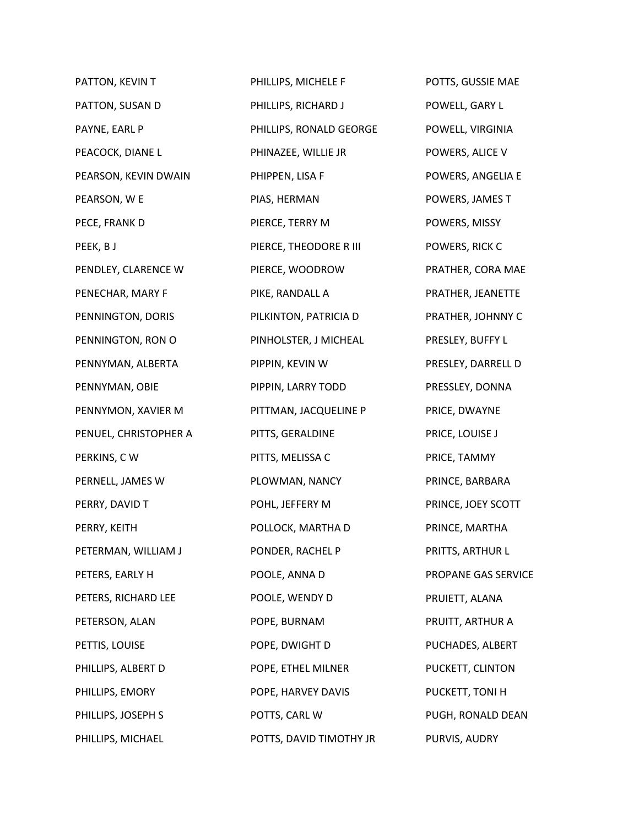| PATTON, KEVIN T       | PHILLIPS, MICHELE F     | POTTS, GUSSIE MAE   |
|-----------------------|-------------------------|---------------------|
| PATTON, SUSAN D       | PHILLIPS, RICHARD J     | POWELL, GARY L      |
| PAYNE, EARL P         | PHILLIPS, RONALD GEORGE | POWELL, VIRGINIA    |
| PEACOCK, DIANE L      | PHINAZEE, WILLIE JR     | POWERS, ALICE V     |
| PEARSON, KEVIN DWAIN  | PHIPPEN, LISA F         | POWERS, ANGELIA E   |
| PEARSON, W E          | PIAS, HERMAN            | POWERS, JAMES T     |
| PECE, FRANK D         | PIERCE, TERRY M         | POWERS, MISSY       |
| PEEK, BJ              | PIERCE, THEODORE R III  | POWERS, RICK C      |
| PENDLEY, CLARENCE W   | PIERCE, WOODROW         | PRATHER, CORA MAE   |
| PENECHAR, MARY F      | PIKE, RANDALL A         | PRATHER, JEANETTE   |
| PENNINGTON, DORIS     | PILKINTON, PATRICIA D   | PRATHER, JOHNNY C   |
| PENNINGTON, RON O     | PINHOLSTER, J MICHEAL   | PRESLEY, BUFFY L    |
| PENNYMAN, ALBERTA     | PIPPIN, KEVIN W         | PRESLEY, DARRELL D  |
| PENNYMAN, OBIE        | PIPPIN, LARRY TODD      | PRESSLEY, DONNA     |
| PENNYMON, XAVIER M    | PITTMAN, JACQUELINE P   | PRICE, DWAYNE       |
| PENUEL, CHRISTOPHER A | PITTS, GERALDINE        | PRICE, LOUISE J     |
| PERKINS, CW           | PITTS, MELISSA C        | PRICE, TAMMY        |
| PERNELL, JAMES W      | PLOWMAN, NANCY          | PRINCE, BARBARA     |
| PERRY, DAVID T        | POHL, JEFFERY M         | PRINCE, JOEY SCOTT  |
| PERRY, KEITH          | POLLOCK, MARTHA D       | PRINCE, MARTHA      |
| PETERMAN, WILLIAM J   | PONDER, RACHEL P        | PRITTS, ARTHUR L    |
| PETERS, EARLY H       | POOLE, ANNA D           | PROPANE GAS SERVICE |
| PETERS, RICHARD LEE   | POOLE, WENDY D          | PRUIETT, ALANA      |
| PETERSON, ALAN        | POPE, BURNAM            | PRUITT, ARTHUR A    |
| PETTIS, LOUISE        | POPE, DWIGHT D          | PUCHADES, ALBERT    |
| PHILLIPS, ALBERT D    | POPE, ETHEL MILNER      | PUCKETT, CLINTON    |
| PHILLIPS, EMORY       | POPE, HARVEY DAVIS      | PUCKETT, TONI H     |
| PHILLIPS, JOSEPH S    | POTTS, CARL W           | PUGH, RONALD DEAN   |
| PHILLIPS, MICHAEL     | POTTS, DAVID TIMOTHY JR | PURVIS, AUDRY       |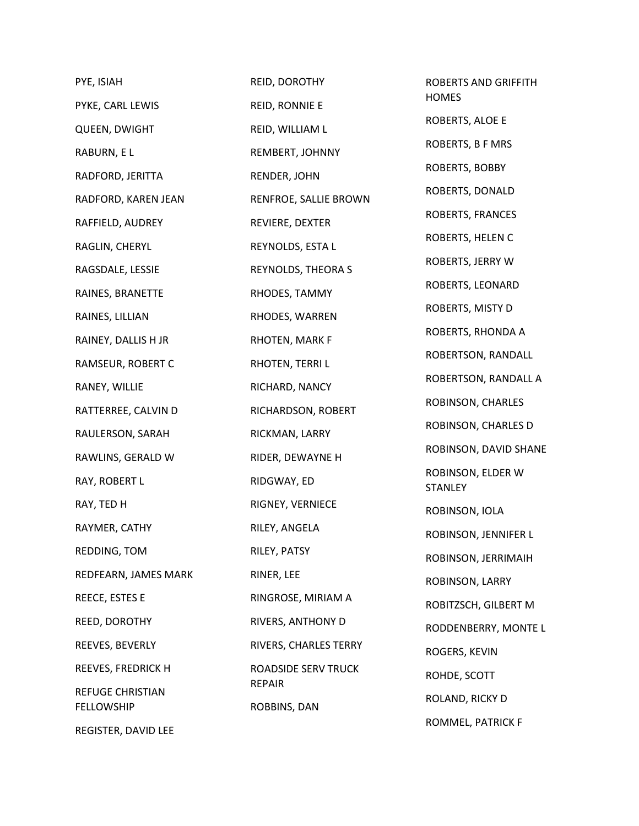| PYE, ISIAH              | REID, DOROTHY         | <b>ROBERTS AND GRIFFITH</b>         |
|-------------------------|-----------------------|-------------------------------------|
| PYKE, CARL LEWIS        | REID, RONNIE E        | <b>HOMES</b>                        |
| QUEEN, DWIGHT           | REID, WILLIAM L       | ROBERTS, ALOE E                     |
| RABURN, EL              | REMBERT, JOHNNY       | ROBERTS, B F MRS                    |
| RADFORD, JERITTA        | RENDER, JOHN          | ROBERTS, BOBBY                      |
| RADFORD, KAREN JEAN     | RENFROE, SALLIE BROWN | ROBERTS, DONALD                     |
| RAFFIELD, AUDREY        | REVIERE, DEXTER       | ROBERTS, FRANCES                    |
| RAGLIN, CHERYL          | REYNOLDS, ESTA L      | ROBERTS, HELEN C                    |
| RAGSDALE, LESSIE        | REYNOLDS, THEORA S    | ROBERTS, JERRY W                    |
| RAINES, BRANETTE        | RHODES, TAMMY         | ROBERTS, LEONARD                    |
| RAINES, LILLIAN         | RHODES, WARREN        | ROBERTS, MISTY D                    |
| RAINEY, DALLIS H JR     | RHOTEN, MARK F        | ROBERTS, RHONDA A                   |
| RAMSEUR, ROBERT C       | RHOTEN, TERRIL        | ROBERTSON, RANDALL                  |
| RANEY, WILLIE           | RICHARD, NANCY        | ROBERTSON, RANDALL A                |
| RATTERREE, CALVIN D     | RICHARDSON, ROBERT    | ROBINSON, CHARLES                   |
| RAULERSON, SARAH        | RICKMAN, LARRY        | ROBINSON, CHARLES D                 |
| RAWLINS, GERALD W       | RIDER, DEWAYNE H      | ROBINSON, DAVID SHANE               |
| RAY, ROBERT L           | RIDGWAY, ED           | ROBINSON, ELDER W<br><b>STANLEY</b> |
| RAY, TED H              | RIGNEY, VERNIECE      | ROBINSON, IOLA                      |
| RAYMER, CATHY           | RILEY, ANGELA         | ROBINSON, JENNIFER L                |
| REDDING, TOM            | RILEY, PATSY          | ROBINSON, JERRIMAIH                 |
| REDFEARN, JAMES MARK    | RINER, LEE            | ROBINSON, LARRY                     |
| REECE, ESTES E          | RINGROSE, MIRIAM A    | ROBITZSCH, GILBERT M                |
| REED, DOROTHY           | RIVERS, ANTHONY D     | RODDENBERRY, MONTE L                |
| REEVES, BEVERLY         | RIVERS, CHARLES TERRY | ROGERS, KEVIN                       |
| REEVES, FREDRICK H      | ROADSIDE SERV TRUCK   | ROHDE, SCOTT                        |
| <b>REFUGE CHRISTIAN</b> | <b>REPAIR</b>         | ROLAND, RICKY D                     |
| <b>FELLOWSHIP</b>       | ROBBINS, DAN          | ROMMEL, PATRICK F                   |
| REGISTER, DAVID LEE     |                       |                                     |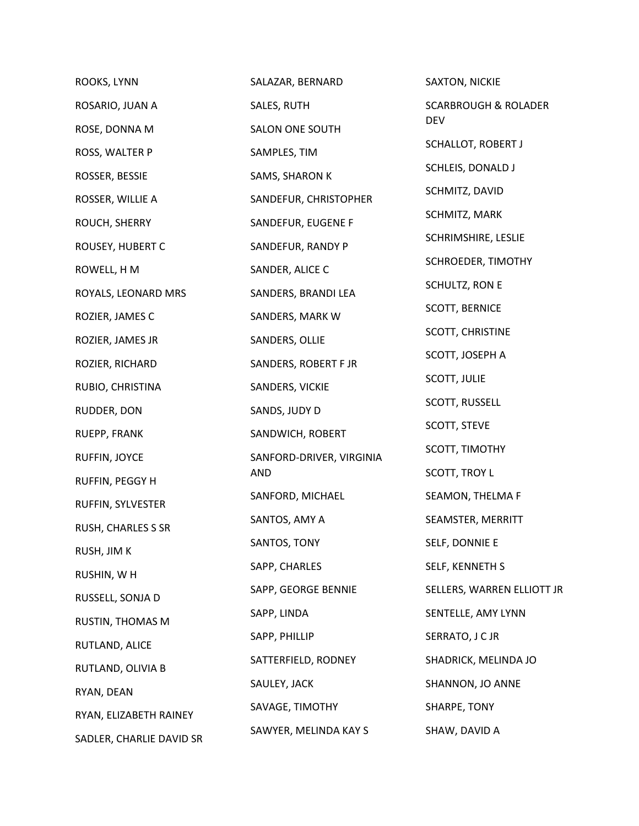| ROOKS, LYNN              | SALAZAR, BERNARD         | SAXTON, NICKIE                  |
|--------------------------|--------------------------|---------------------------------|
| ROSARIO, JUAN A          | SALES, RUTH              | <b>SCARBROUGH &amp; ROLADER</b> |
| ROSE, DONNA M            | SALON ONE SOUTH          | <b>DEV</b>                      |
| ROSS, WALTER P           | SAMPLES, TIM             | <b>SCHALLOT, ROBERT J</b>       |
| ROSSER, BESSIE           | SAMS, SHARON K           | SCHLEIS, DONALD J               |
| ROSSER, WILLIE A         | SANDEFUR, CHRISTOPHER    | SCHMITZ, DAVID                  |
| ROUCH, SHERRY            | SANDEFUR, EUGENE F       | SCHMITZ, MARK                   |
| ROUSEY, HUBERT C         | SANDEFUR, RANDY P        | SCHRIMSHIRE, LESLIE             |
| ROWELL, H M              | SANDER, ALICE C          | SCHROEDER, TIMOTHY              |
| ROYALS, LEONARD MRS      | SANDERS, BRANDI LEA      | SCHULTZ, RON E                  |
| ROZIER, JAMES C          | SANDERS, MARK W          | <b>SCOTT, BERNICE</b>           |
| ROZIER, JAMES JR         | SANDERS, OLLIE           | <b>SCOTT, CHRISTINE</b>         |
| ROZIER, RICHARD          | SANDERS, ROBERT F JR     | SCOTT, JOSEPH A                 |
| RUBIO, CHRISTINA         | SANDERS, VICKIE          | SCOTT, JULIE                    |
| RUDDER, DON              | SANDS, JUDY D            | <b>SCOTT, RUSSELL</b>           |
| RUEPP, FRANK             | SANDWICH, ROBERT         | SCOTT, STEVE                    |
| RUFFIN, JOYCE            | SANFORD-DRIVER, VIRGINIA | SCOTT, TIMOTHY                  |
| RUFFIN, PEGGY H          | <b>AND</b>               | <b>SCOTT, TROY L</b>            |
| RUFFIN, SYLVESTER        | SANFORD, MICHAEL         | SEAMON, THELMA F                |
| RUSH, CHARLES S SR       | SANTOS, AMY A            | SEAMSTER, MERRITT               |
| RUSH, JIM K              | SANTOS, TONY             | SELF, DONNIE E                  |
| RUSHIN, WH               | SAPP, CHARLES            | SELF, KENNETH S                 |
| RUSSELL, SONJA D         | SAPP, GEORGE BENNIE      | SELLERS, WARREN ELLIOTT JR      |
| RUSTIN, THOMAS M         | SAPP, LINDA              | SENTELLE, AMY LYNN              |
| RUTLAND, ALICE           | SAPP, PHILLIP            | SERRATO, J C JR                 |
| RUTLAND, OLIVIA B        | SATTERFIELD, RODNEY      | SHADRICK, MELINDA JO            |
| RYAN, DEAN               | SAULEY, JACK             | SHANNON, JO ANNE                |
| RYAN, ELIZABETH RAINEY   | SAVAGE, TIMOTHY          | SHARPE, TONY                    |
| SADLER, CHARLIE DAVID SR | SAWYER, MELINDA KAY S    | SHAW, DAVID A                   |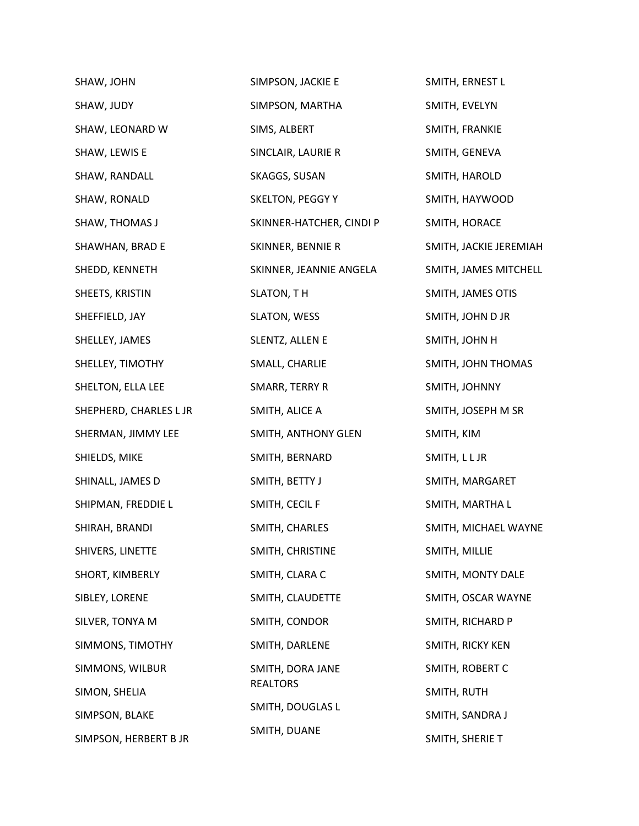| SHAW, JOHN             | SIMPSON, JACKIE E        | SMITH, ERNEST L        |
|------------------------|--------------------------|------------------------|
| SHAW, JUDY             | SIMPSON, MARTHA          | SMITH, EVELYN          |
| SHAW, LEONARD W        | SIMS, ALBERT             | SMITH, FRANKIE         |
| SHAW, LEWIS E          | SINCLAIR, LAURIE R       | SMITH, GENEVA          |
| SHAW, RANDALL          | SKAGGS, SUSAN            | SMITH, HAROLD          |
| SHAW, RONALD           | SKELTON, PEGGY Y         | SMITH, HAYWOOD         |
| SHAW, THOMAS J         | SKINNER-HATCHER, CINDI P | SMITH, HORACE          |
| SHAWHAN, BRAD E        | SKINNER, BENNIE R        | SMITH, JACKIE JEREMIAH |
| SHEDD, KENNETH         | SKINNER, JEANNIE ANGELA  | SMITH, JAMES MITCHELL  |
| SHEETS, KRISTIN        | SLATON, TH               | SMITH, JAMES OTIS      |
| SHEFFIELD, JAY         | SLATON, WESS             | SMITH, JOHN D JR       |
| SHELLEY, JAMES         | SLENTZ, ALLEN E          | SMITH, JOHN H          |
| SHELLEY, TIMOTHY       | SMALL, CHARLIE           | SMITH, JOHN THOMAS     |
| SHELTON, ELLA LEE      | SMARR, TERRY R           | SMITH, JOHNNY          |
| SHEPHERD, CHARLES L JR | SMITH, ALICE A           | SMITH, JOSEPH M SR     |
| SHERMAN, JIMMY LEE     | SMITH, ANTHONY GLEN      | SMITH, KIM             |
| SHIELDS, MIKE          | SMITH, BERNARD           | SMITH, LL JR           |
| SHINALL, JAMES D       | SMITH, BETTY J           | SMITH, MARGARET        |
| SHIPMAN, FREDDIE L     | SMITH, CECIL F           | SMITH, MARTHA L        |
| SHIRAH, BRANDI         | SMITH, CHARLES           | SMITH, MICHAEL WAYNE   |
| SHIVERS, LINETTE       | SMITH, CHRISTINE         | SMITH, MILLIE          |
| SHORT, KIMBERLY        | SMITH, CLARA C           | SMITH, MONTY DALE      |
| SIBLEY, LORENE         | SMITH, CLAUDETTE         | SMITH, OSCAR WAYNE     |
| SILVER, TONYA M        | SMITH, CONDOR            | SMITH, RICHARD P       |
| SIMMONS, TIMOTHY       | SMITH, DARLENE           | SMITH, RICKY KEN       |
| SIMMONS, WILBUR        | SMITH, DORA JANE         | SMITH, ROBERT C        |
| SIMON, SHELIA          | <b>REALTORS</b>          | SMITH, RUTH            |
| SIMPSON, BLAKE         | SMITH, DOUGLAS L         | SMITH, SANDRA J        |
| SIMPSON, HERBERT B JR  | SMITH, DUANE             | SMITH, SHERIE T        |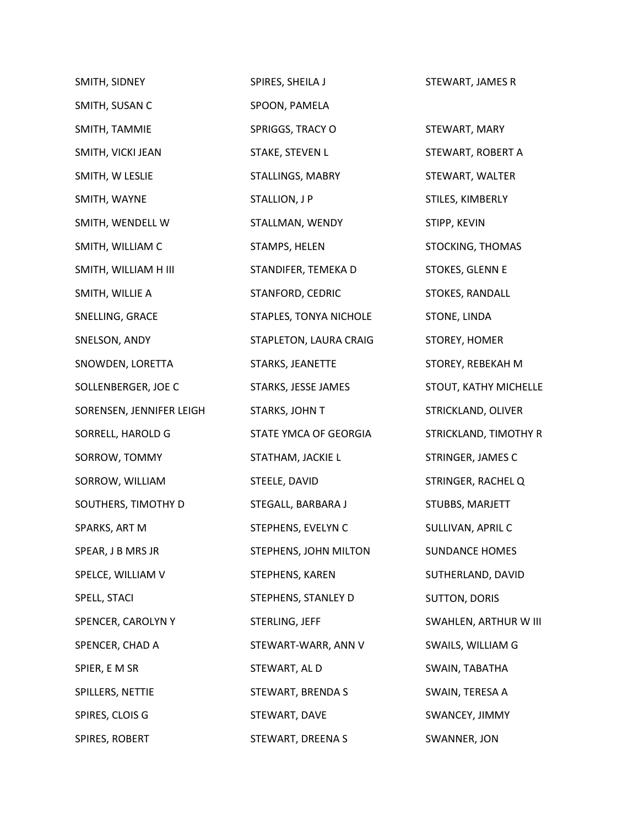| SMITH, SIDNEY            | SPIRES, SHEILA J       | STEWART, JAMES R      |
|--------------------------|------------------------|-----------------------|
| SMITH, SUSAN C           | SPOON, PAMELA          |                       |
| SMITH, TAMMIE            | SPRIGGS, TRACY O       | STEWART, MARY         |
| SMITH, VICKI JEAN        | STAKE, STEVEN L        | STEWART, ROBERT A     |
| SMITH, W LESLIE          | STALLINGS, MABRY       | STEWART, WALTER       |
| SMITH, WAYNE             | STALLION, J P          | STILES, KIMBERLY      |
| SMITH, WENDELL W         | STALLMAN, WENDY        | STIPP, KEVIN          |
| SMITH, WILLIAM C         | STAMPS, HELEN          | STOCKING, THOMAS      |
| SMITH, WILLIAM H III     | STANDIFER, TEMEKA D    | STOKES, GLENN E       |
| SMITH, WILLIE A          | STANFORD, CEDRIC       | STOKES, RANDALL       |
| SNELLING, GRACE          | STAPLES, TONYA NICHOLE | STONE, LINDA          |
| SNELSON, ANDY            | STAPLETON, LAURA CRAIG | STOREY, HOMER         |
| SNOWDEN, LORETTA         | STARKS, JEANETTE       | STOREY, REBEKAH M     |
| SOLLENBERGER, JOE C      | STARKS, JESSE JAMES    | STOUT, KATHY MICHELLE |
| SORENSEN, JENNIFER LEIGH | STARKS, JOHN T         | STRICKLAND, OLIVER    |
| SORRELL, HAROLD G        | STATE YMCA OF GEORGIA  | STRICKLAND, TIMOTHY R |
| SORROW, TOMMY            | STATHAM, JACKIE L      | STRINGER, JAMES C     |
| SORROW, WILLIAM          | STEELE, DAVID          | STRINGER, RACHEL Q    |
| SOUTHERS, TIMOTHY D      | STEGALL, BARBARA J     | STUBBS, MARJETT       |
| SPARKS, ART M            | STEPHENS, EVELYN C     | SULLIVAN, APRIL C     |
| SPEAR, J B MRS JR        | STEPHENS, JOHN MILTON  | <b>SUNDANCE HOMES</b> |
| SPELCE, WILLIAM V        | STEPHENS, KAREN        | SUTHERLAND, DAVID     |
| SPELL, STACI             | STEPHENS, STANLEY D    | <b>SUTTON, DORIS</b>  |
| SPENCER, CAROLYN Y       | STERLING, JEFF         | SWAHLEN, ARTHUR W III |
| SPENCER, CHAD A          | STEWART-WARR, ANN V    | SWAILS, WILLIAM G     |
| SPIER, E M SR            | STEWART, AL D          | SWAIN, TABATHA        |
| SPILLERS, NETTIE         | STEWART, BRENDA S      | SWAIN, TERESA A       |
| SPIRES, CLOIS G          | STEWART, DAVE          | SWANCEY, JIMMY        |
| SPIRES, ROBERT           | STEWART, DREENA S      | SWANNER, JON          |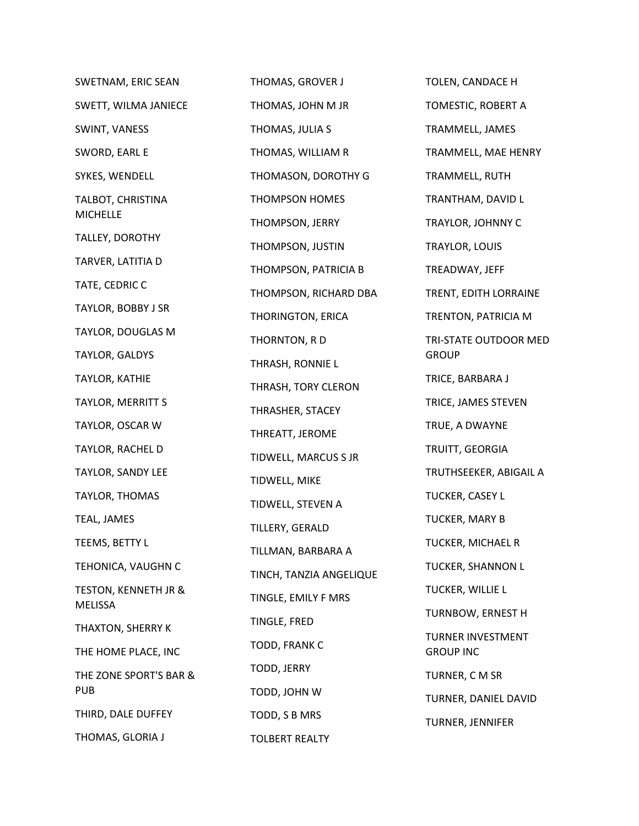SWETNAM, ERIC SEAN SWETT, WILMA JANIECE SWINT, VANESS SWORD, EARL E SYKES, WENDELL TALBOT, CHRISTINA **MICHELLE** TALLEY, DOROTHY TARVER, LATITIA D TATE, CEDRIC C TAYLOR, BOBBY J SR TAYLOR, DOUGLAS M TAYLOR, GALDYS TAYLOR, KATHIE TAYLOR, MERRITT S TAYLOR, OSCAR W TAYLOR, RACHEL D TAYLOR, SANDY LEE TAYLOR, THOMAS TEAL, JAMES TEEMS, BETTY L TEHONICA, VAUGHN C TESTON, KENNETH JR & MELISSA THAXTON, SHERRY K THE HOME PLACE, INC THE ZONE SPORT'S BAR & PUB THIRD, DALE DUFFEY THOMAS, GLORIA J

THOMAS, GROVER J THOMAS, JOHN M JR THOMAS, JULIA S THOMAS, WILLIAM R THOMASON, DOROTHY G THOMPSON HOMES THOMPSON, JERRY THOMPSON, JUSTIN THOMPSON, PATRICIA B THOMPSON, RICHARD DBA THORINGTON, ERICA THORNTON, R D THRASH, RONNIE L THRASH, TORY CLERON THRASHER, STACEY THREATT, JEROME TIDWELL, MARCUS S JR TIDWELL, MIKE TIDWELL, STEVEN A TILLERY, GERALD TILLMAN, BARBARA A TINCH, TANZIA ANGELIQUE TINGLE, EMILY F MRS TINGLE, FRED TODD, FRANK C TODD, JERRY TODD, JOHN W TODD, S B MRS TOLBERT REALTY

TOLEN, CANDACE H TOMESTIC, ROBERT A TRAMMELL, JAMES TRAMMELL, MAE HENRY TRAMMELL, RUTH TRANTHAM, DAVID L TRAYLOR, JOHNNY C TRAYLOR, LOUIS TREADWAY, JEFF TRENT, EDITH LORRAINE TRENTON, PATRICIA M TRI-STATE OUTDOOR MED **GROUP** TRICE, BARBARA J TRICE, JAMES STEVEN TRUE, A DWAYNE TRUITT, GEORGIA TRUTHSEEKER, ABIGAIL A TUCKER, CASEY L TUCKER, MARY B TUCKER, MICHAEL R TUCKER, SHANNON L TUCKER, WILLIE L TURNBOW, ERNEST H TURNER INVESTMENT GROUP INC TURNER, C M SR TURNER, DANIEL DAVID TURNER, JENNIFER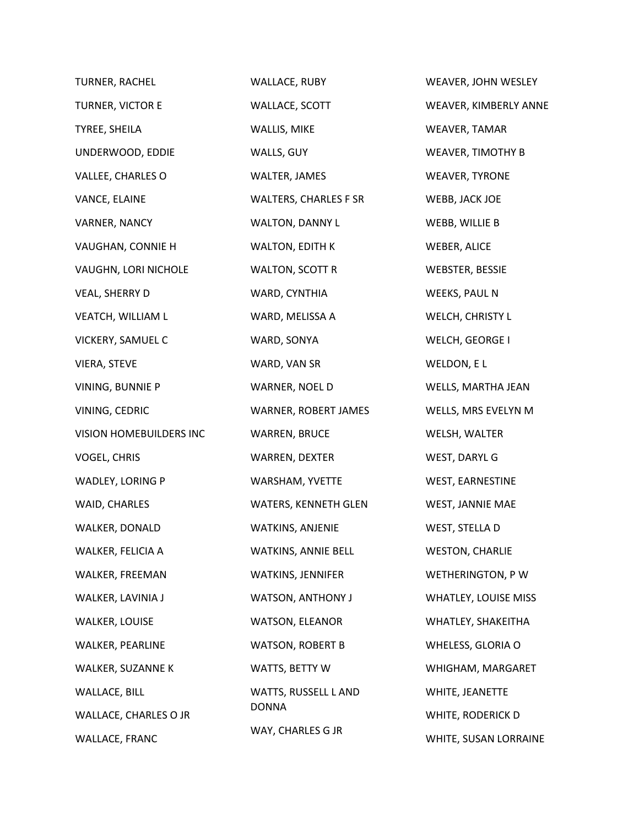| <b>TURNER, RACHEL</b>   | WALLACE, RUBY                | WEAVER, JOHN WESLEY         |
|-------------------------|------------------------------|-----------------------------|
| TURNER, VICTOR E        | WALLACE, SCOTT               | WEAVER, KIMBERLY ANNE       |
| TYREE, SHEILA           | WALLIS, MIKE                 | WEAVER, TAMAR               |
| UNDERWOOD, EDDIE        | WALLS, GUY                   | WEAVER, TIMOTHY B           |
| VALLEE, CHARLES O       | WALTER, JAMES                | <b>WEAVER, TYRONE</b>       |
| VANCE, ELAINE           | <b>WALTERS, CHARLES F SR</b> | WEBB, JACK JOE              |
| VARNER, NANCY           | WALTON, DANNY L              | WEBB, WILLIE B              |
| VAUGHAN, CONNIE H       | WALTON, EDITH K              | WEBER, ALICE                |
| VAUGHN, LORI NICHOLE    | <b>WALTON, SCOTT R</b>       | <b>WEBSTER, BESSIE</b>      |
| VEAL, SHERRY D          | WARD, CYNTHIA                | WEEKS, PAUL N               |
| VEATCH, WILLIAM L       | WARD, MELISSA A              | WELCH, CHRISTY L            |
| VICKERY, SAMUEL C       | WARD, SONYA                  | WELCH, GEORGE I             |
| VIERA, STEVE            | WARD, VAN SR                 | WELDON, EL                  |
| VINING, BUNNIE P        | WARNER, NOEL D               | WELLS, MARTHA JEAN          |
| VINING, CEDRIC          | WARNER, ROBERT JAMES         | WELLS, MRS EVELYN M         |
| VISION HOMEBUILDERS INC | WARREN, BRUCE                | WELSH, WALTER               |
| VOGEL, CHRIS            | WARREN, DEXTER               | WEST, DARYL G               |
| WADLEY, LORING P        | WARSHAM, YVETTE              | WEST, EARNESTINE            |
| WAID, CHARLES           | WATERS, KENNETH GLEN         | WEST, JANNIE MAE            |
| WALKER, DONALD          | WATKINS, ANJENIE             | WEST, STELLA D              |
| WALKER, FELICIA A       | WATKINS, ANNIE BELL          | <b>WESTON, CHARLIE</b>      |
| WALKER, FREEMAN         | WATKINS, JENNIFER            | WETHERINGTON, PW            |
| WALKER, LAVINIA J       | WATSON, ANTHONY J            | <b>WHATLEY, LOUISE MISS</b> |
| <b>WALKER, LOUISE</b>   | <b>WATSON, ELEANOR</b>       | WHATLEY, SHAKEITHA          |
| WALKER, PEARLINE        | <b>WATSON, ROBERT B</b>      | WHELESS, GLORIA O           |
| WALKER, SUZANNE K       | WATTS, BETTY W               | WHIGHAM, MARGARET           |
| WALLACE, BILL           | WATTS, RUSSELL L AND         | WHITE, JEANETTE             |
| WALLACE, CHARLES O JR   | <b>DONNA</b>                 | WHITE, RODERICK D           |
| WALLACE, FRANC          | WAY, CHARLES G JR            | WHITE, SUSAN LORRAINE       |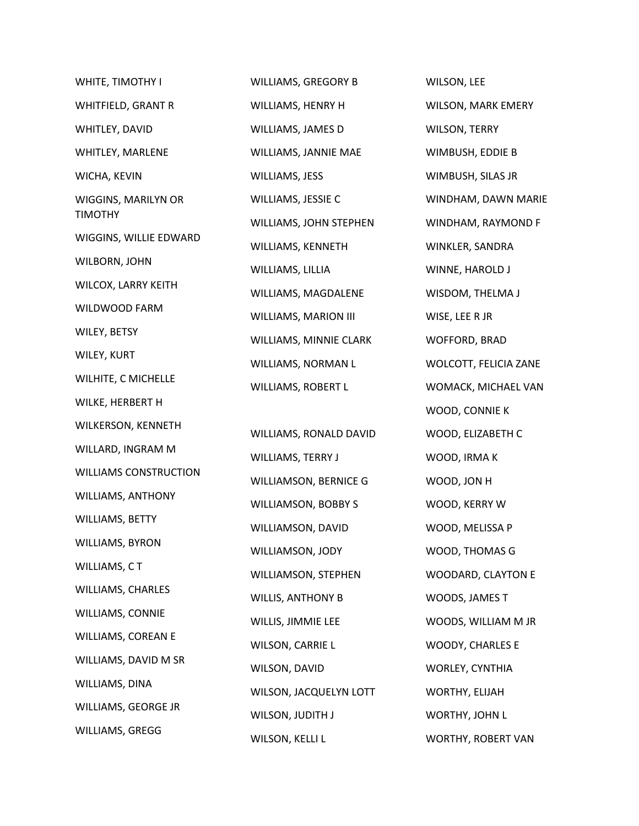WHITE, TIMOTHY I WHITFIELD, GRANT R WHITLEY, DAVID WHITLEY, MARLENE WICHA, KEVIN WIGGINS, MARILYN OR TIMOTHY WIGGINS, WILLIE EDWARD WILBORN, JOHN WILCOX, LARRY KEITH WILDWOOD FARM WILEY, BETSY WILEY, KURT WILHITE, C MICHELLE WILKE, HERBERT H WILKERSON, KENNETH WILLARD, INGRAM M WILLIAMS CONSTRUCTION WILLIAMS, ANTHONY WILLIAMS, BETTY WILLIAMS, BYRON WILLIAMS, C T WILLIAMS, CHARLES WILLIAMS, CONNIE WILLIAMS, COREAN E WILLIAMS, DAVID M SR WILLIAMS, DINA WILLIAMS, GEORGE JR WILLIAMS, GREGG

WILLIAMS, GREGORY B WILLIAMS, HENRY H WILLIAMS, JAMES D WILLIAMS, JANNIE MAE WILLIAMS, JESS WILLIAMS, JESSIE C WILLIAMS, JOHN STEPHEN WILLIAMS, KENNETH WILLIAMS, LILLIA WILLIAMS, MAGDALENE WILLIAMS, MARION III WILLIAMS, MINNIE CLARK WILLIAMS, NORMAN L WILLIAMS, ROBERT L

WILLIAMS, RONALD DAVID WILLIAMS, TERRY J WILLIAMSON, BERNICE G WILLIAMSON, BOBBY S WILLIAMSON, DAVID WILLIAMSON, JODY WILLIAMSON, STEPHEN WILLIS, ANTHONY B WILLIS, JIMMIE LEE WILSON, CARRIE L WILSON, DAVID WILSON, JACQUELYN LOTT WILSON, JUDITH J WILSON, KELLI L

WILSON, LEE WILSON, MARK EMERY WILSON, TERRY WIMBUSH, EDDIE B WIMBUSH, SILAS JR WINDHAM, DAWN MARIE WINDHAM, RAYMOND F WINKLER, SANDRA WINNE, HAROLD J WISDOM, THELMA J WISE, LEE R JR WOFFORD, BRAD WOLCOTT, FELICIA ZANE WOMACK, MICHAEL VAN WOOD, CONNIE K WOOD, ELIZABETH C WOOD, IRMA K WOOD, JON H WOOD, KERRY W WOOD, MELISSA P WOOD, THOMAS G WOODARD, CLAYTON E WOODS, JAMES T WOODS, WILLIAM M JR WOODY, CHARLES E WORLEY, CYNTHIA WORTHY, ELIJAH WORTHY, JOHN L WORTHY, ROBERT VAN